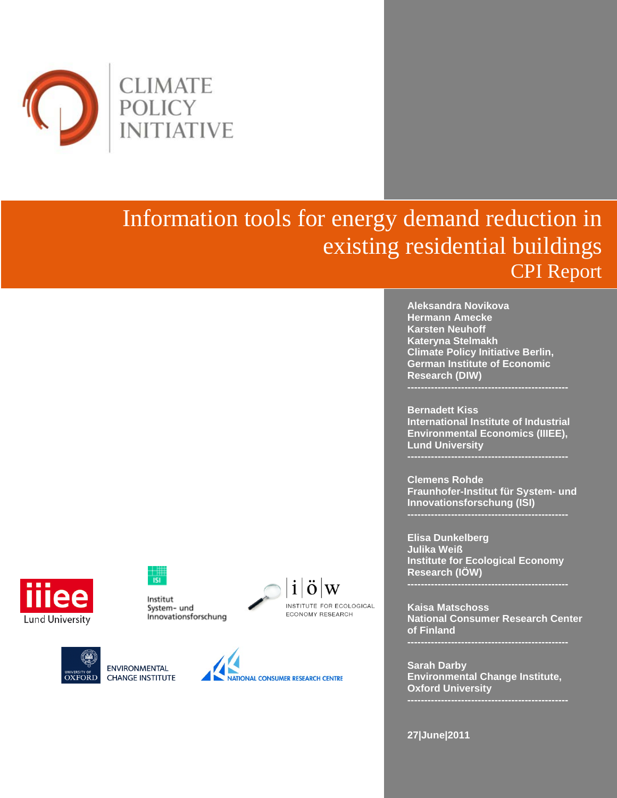

# Information tools for energy demand reduction in existing residential buildings CPI Report

**Aleksandra Novikova Hermann Amecke Karsten Neuhoff Kateryna Stelmakh Climate Policy Initiative Berlin, German Institute of Economic Research (DIW)**

**Bernadett Kiss International Institute of Industrial Environmental Economics (IIIEE), Lund University**

**Clemens Rohde Fraunhofer-Institut für System- und Innovationsforschung (ISI)**

**Elisa Dunkelberg Julika Weiß Institute for Ecological Economy Research (IÖW)**

**Kaisa Matschoss National Consumer Research Center of Finland** 

**Sarah Darby Environmental Change Institute, Oxford University**

**27|June|2011**



Institut System- und Innovationsforschung



 $\mathbf{1}$  $\Omega$ 

INSTITUTE FOR ECOLOGICAL

**ECONOMY RESEARCH** 

**ENVIRONMENTAL OXFORD CHANGE INSTITUTE**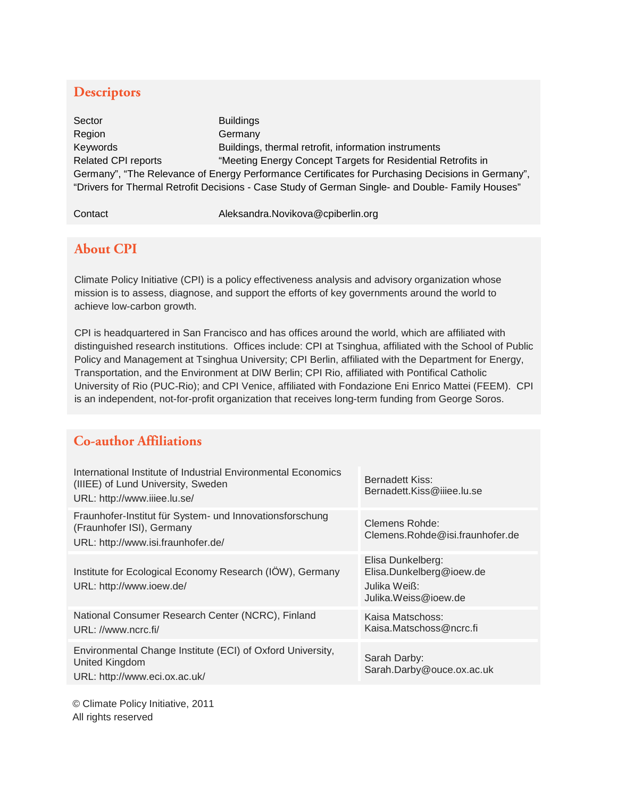### **Descriptors**

Sector **Buildings** Region Germany Keywords Buildings, thermal retrofit, information instruments Related CPI reports "Meeting Energy Concept Targets for Residential Retrofits in Germany", "The Relevance of Energy Performance Certificates for Purchasing Decisions in Germany", "Drivers for Thermal Retrofit Decisions - Case Study of German Single- and Double- Family Houses"

Contact Contact Aleksandra.Novikova@cpiberlin.org

### **About CPI**

Climate Policy Initiative (CPI) is a policy effectiveness analysis and advisory organization whose mission is to assess, diagnose, and support the efforts of key governments around the world to achieve low-carbon growth.

CPI is headquartered in San Francisco and has offices around the world, which are affiliated with distinguished research institutions. Offices include: CPI at Tsinghua, affiliated with the School of Public Policy and Management at Tsinghua University; CPI Berlin, affiliated with the Department for Energy, Transportation, and the Environment at DIW Berlin; CPI Rio, affiliated with Pontifical Catholic University of Rio (PUC-Rio); and CPI Venice, affiliated with Fondazione Eni Enrico Mattei (FEEM). CPI is an independent, not-for-profit organization that receives long-term funding from George Soros.

### **Co-author Affiliations**

| International Institute of Industrial Environmental Economics<br>(IIIEE) of Lund University, Sweden<br>URL: http://www.iiiee.lu.se/ | Bernadett Kiss:<br>Bernadett.Kiss@iiiee.lu.se                                         |
|-------------------------------------------------------------------------------------------------------------------------------------|---------------------------------------------------------------------------------------|
| Fraunhofer-Institut für System- und Innovationsforschung<br>(Fraunhofer ISI), Germany<br>URL: http://www.isi.fraunhofer.de/         | Clemens Rohde:<br>Clemens.Rohde@isi.fraunhofer.de                                     |
| Institute for Ecological Economy Research (IÖW), Germany<br>URL: http://www.ioew.de/                                                | Elisa Dunkelberg:<br>Elisa.Dunkelberg@ioew.de<br>Julika Weiß:<br>Julika.Weiss@ioew.de |
| National Consumer Research Center (NCRC), Finland<br>URL: //www.ncrc.fi/                                                            | Kaisa Matschoss:<br>Kaisa.Matschoss@ncrc.fi                                           |
| Environmental Change Institute (ECI) of Oxford University,<br>United Kingdom<br>URL: http://www.eci.ox.ac.uk/                       | Sarah Darby:<br>Sarah.Darby@ouce.ox.ac.uk                                             |

© Climate Policy Initiative, 2011 All rights reserved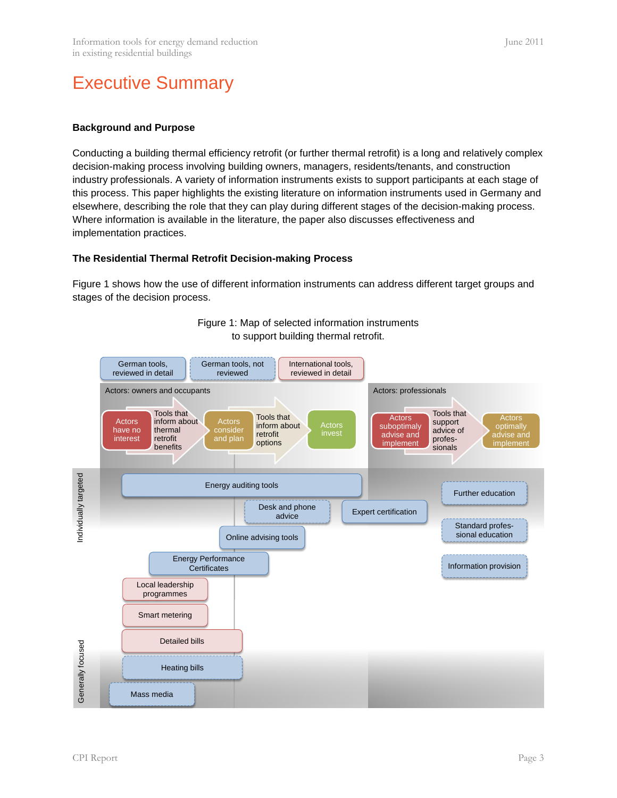# Executive Summary

#### **Background and Purpose**

Conducting a building thermal efficiency retrofit (or further thermal retrofit) is a long and relatively complex decision-making process involving building owners, managers, residents/tenants, and construction industry professionals. A variety of information instruments exists to support participants at each stage of this process. This paper highlights the existing literature on information instruments used in Germany and elsewhere, describing the role that they can play during different stages of the decision-making process. Where information is available in the literature, the paper also discusses effectiveness and implementation practices.

#### **The Residential Thermal Retrofit Decision-making Process**

Figure 1 shows how the use of different information instruments can address different target groups and stages of the decision process.



Figure 1: Map of selected information instruments to support building thermal retrofit.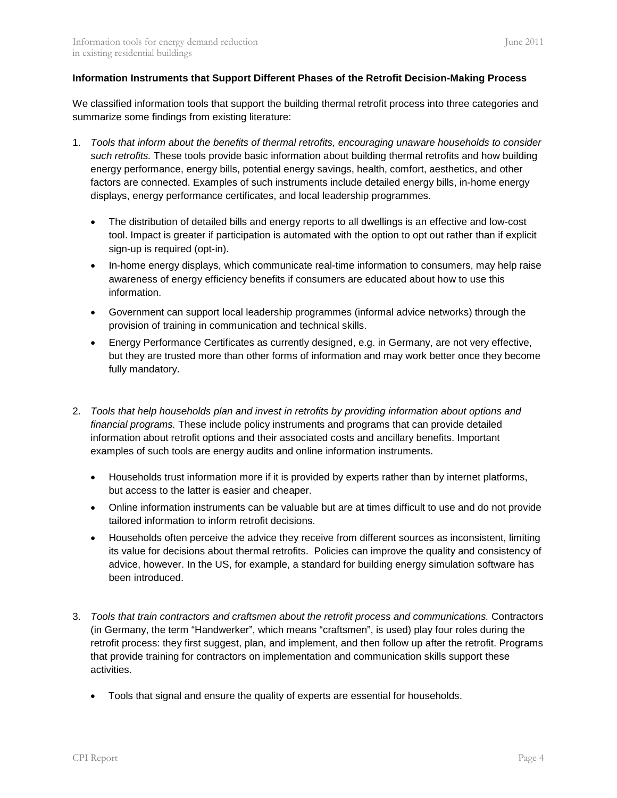#### **Information Instruments that Support Different Phases of the Retrofit Decision-Making Process**

We classified information tools that support the building thermal retrofit process into three categories and summarize some findings from existing literature:

- 1. *Tools that inform about the benefits of thermal retrofits, encouraging unaware households to consider such retrofits.* These tools provide basic information about building thermal retrofits and how building energy performance, energy bills, potential energy savings, health, comfort, aesthetics, and other factors are connected. Examples of such instruments include detailed energy bills, in-home energy displays, energy performance certificates, and local leadership programmes.
	- The distribution of detailed bills and energy reports to all dwellings is an effective and low-cost tool. Impact is greater if participation is automated with the option to opt out rather than if explicit sign-up is required (opt-in).
	- In-home energy displays, which communicate real-time information to consumers, may help raise awareness of energy efficiency benefits if consumers are educated about how to use this information.
	- Government can support local leadership programmes (informal advice networks) through the provision of training in communication and technical skills.
	- Energy Performance Certificates as currently designed, e.g. in Germany, are not very effective, but they are trusted more than other forms of information and may work better once they become fully mandatory.
- 2. *Tools that help households plan and invest in retrofits by providing information about options and financial programs.* These include policy instruments and programs that can provide detailed information about retrofit options and their associated costs and ancillary benefits. Important examples of such tools are energy audits and online information instruments.
	- Households trust information more if it is provided by experts rather than by internet platforms, but access to the latter is easier and cheaper.
	- Online information instruments can be valuable but are at times difficult to use and do not provide tailored information to inform retrofit decisions.
	- Households often perceive the advice they receive from different sources as inconsistent, limiting its value for decisions about thermal retrofits. Policies can improve the quality and consistency of advice, however. In the US, for example, a standard for building energy simulation software has been introduced.
- 3. *Tools that train contractors and craftsmen about the retrofit process and communications.* Contractors (in Germany, the term "Handwerker", which means "craftsmen", is used) play four roles during the retrofit process: they first suggest, plan, and implement, and then follow up after the retrofit. Programs that provide training for contractors on implementation and communication skills support these activities.
	- Tools that signal and ensure the quality of experts are essential for households.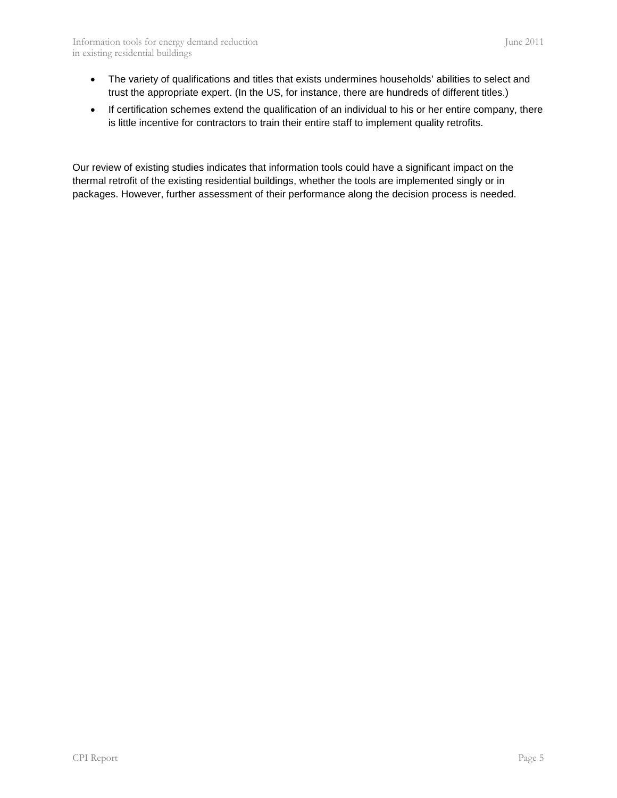- The variety of qualifications and titles that exists undermines households' abilities to select and trust the appropriate expert. (In the US, for instance, there are hundreds of different titles.)
- If certification schemes extend the qualification of an individual to his or her entire company, there is little incentive for contractors to train their entire staff to implement quality retrofits.

Our review of existing studies indicates that information tools could have a significant impact on the thermal retrofit of the existing residential buildings, whether the tools are implemented singly or in packages. However, further assessment of their performance along the decision process is needed.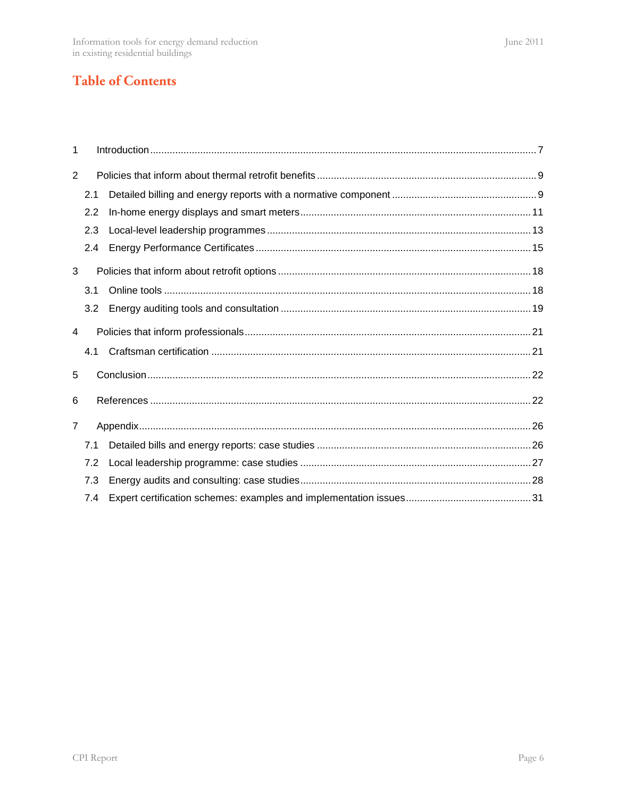# **Table of Contents**

| 1              |     |  |  |  |  |  |
|----------------|-----|--|--|--|--|--|
| 2              |     |  |  |  |  |  |
|                | 2.1 |  |  |  |  |  |
|                | 2.2 |  |  |  |  |  |
|                | 2.3 |  |  |  |  |  |
|                | 2.4 |  |  |  |  |  |
| 3              |     |  |  |  |  |  |
|                | 3.1 |  |  |  |  |  |
|                | 3.2 |  |  |  |  |  |
| 4              |     |  |  |  |  |  |
|                | 4.1 |  |  |  |  |  |
| 5              |     |  |  |  |  |  |
| 6              |     |  |  |  |  |  |
| $\overline{7}$ |     |  |  |  |  |  |
|                | 7.1 |  |  |  |  |  |
|                | 7.2 |  |  |  |  |  |
|                | 7.3 |  |  |  |  |  |
|                | 7.4 |  |  |  |  |  |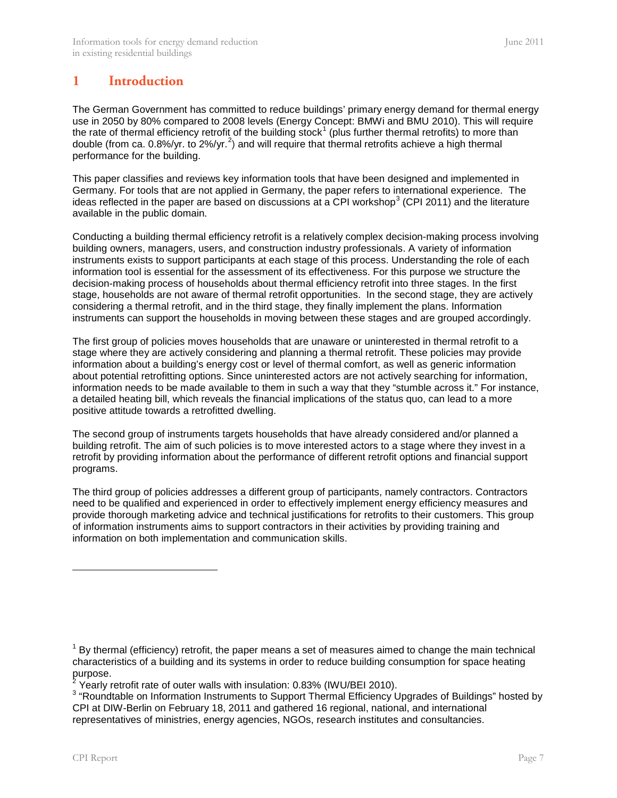### <span id="page-6-0"></span>**1 Introduction**

The German Government has committed to reduce buildings' primary energy demand for thermal energy use in 2050 by 80% compared to 2008 levels (Energy Concept: BMWi and BMU 2010). This will require the rate of thermal efficiency retrofit of the building stock<sup>[1](#page-6-1)</sup> (plus further thermal retrofits) to more than double (from ca. 0.8%/yr. to [2](#page-6-2)%/yr.<sup>2</sup>) and will require that thermal retrofits achieve a high thermal performance for the building.

This paper classifies and reviews key information tools that have been designed and implemented in Germany. For tools that are not applied in Germany, the paper refers to international experience. The ideas reflected in the paper are based on discussions at a CPI workshop<sup>[3](#page-6-3)</sup> (CPI 2011) and the literature available in the public domain.

Conducting a building thermal efficiency retrofit is a relatively complex decision-making process involving building owners, managers, users, and construction industry professionals. A variety of information instruments exists to support participants at each stage of this process. Understanding the role of each information tool is essential for the assessment of its effectiveness. For this purpose we structure the decision-making process of households about thermal efficiency retrofit into three stages. In the first stage, households are not aware of thermal retrofit opportunities. In the second stage, they are actively considering a thermal retrofit, and in the third stage, they finally implement the plans. Information instruments can support the households in moving between these stages and are grouped accordingly.

The first group of policies moves households that are unaware or uninterested in thermal retrofit to a stage where they are actively considering and planning a thermal retrofit. These policies may provide information about a building's energy cost or level of thermal comfort, as well as generic information about potential retrofitting options. Since uninterested actors are not actively searching for information, information needs to be made available to them in such a way that they "stumble across it." For instance, a detailed heating bill, which reveals the financial implications of the status quo, can lead to a more positive attitude towards a retrofitted dwelling.

The second group of instruments targets households that have already considered and/or planned a building retrofit. The aim of such policies is to move interested actors to a stage where they invest in a retrofit by providing information about the performance of different retrofit options and financial support programs.

The third group of policies addresses a different group of participants, namely contractors. Contractors need to be qualified and experienced in order to effectively implement energy efficiency measures and provide thorough marketing advice and technical justifications for retrofits to their customers. This group of information instruments aims to support contractors in their activities by providing training and information on both implementation and communication skills.

j

 $<sup>1</sup>$  By thermal (efficiency) retrofit, the paper means a set of measures aimed to change the main technical</sup> characteristics of a building and its systems in order to reduce building consumption for space heating purpose.<br><sup>2</sup> Yearly retrofit rate of outer walls with insulation: 0.83% (IWU/BEI 2010).

<span id="page-6-1"></span>

<span id="page-6-3"></span><span id="page-6-2"></span> $3$  "Roundtable on Information Instruments to Support Thermal Efficiency Upgrades of Buildings" hosted by CPI at DIW-Berlin on February 18, 2011 and gathered 16 regional, national, and international representatives of ministries, energy agencies, NGOs, research institutes and consultancies.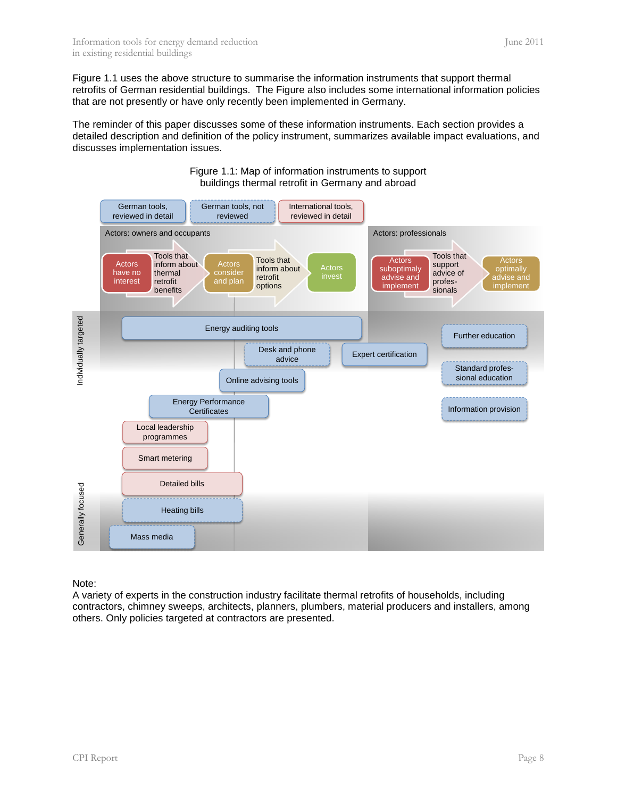[Figure 1.1](#page-7-0) uses the above structure to summarise the information instruments that support thermal retrofits of German residential buildings. The Figure also includes some international information policies that are not presently or have only recently been implemented in Germany.

The reminder of this paper discusses some of these information instruments. Each section provides a detailed description and definition of the policy instrument, summarizes available impact evaluations, and discusses implementation issues.

<span id="page-7-0"></span>

Figure 1.1: Map of information instruments to support buildings thermal retrofit in Germany and abroad

Note:

A variety of experts in the construction industry facilitate thermal retrofits of households, including contractors, chimney sweeps, architects, planners, plumbers, material producers and installers, among others. Only policies targeted at contractors are presented.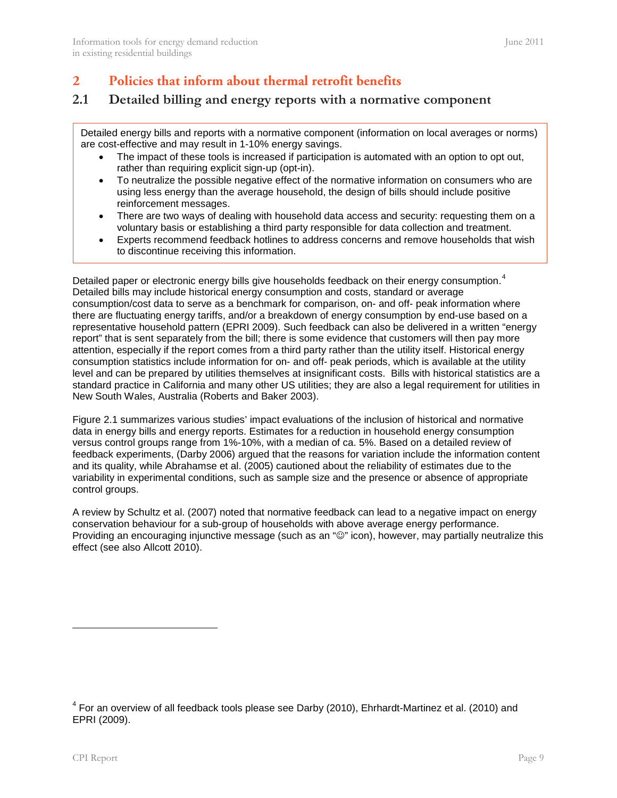### <span id="page-8-0"></span>**2 Policies that inform about thermal retrofit benefits**

### <span id="page-8-1"></span>**2.1 Detailed billing and energy reports with a normative component**

Detailed energy bills and reports with a normative component (information on local averages or norms) are cost-effective and may result in 1-10% energy savings.

- The impact of these tools is increased if participation is automated with an option to opt out, rather than requiring explicit sign-up (opt-in).
- To neutralize the possible negative effect of the normative information on consumers who are using less energy than the average household, the design of bills should include positive reinforcement messages.
- There are two ways of dealing with household data access and security: requesting them on a voluntary basis or establishing a third party responsible for data collection and treatment.
- Experts recommend feedback hotlines to address concerns and remove households that wish to discontinue receiving this information.

Detailed paper or electronic energy bills give households feedback on their energy consumption.<sup>[4](#page-8-2)</sup> representative household pattern (EPRI 2009). Such feedback can also be delivered in a written "energy Detailed bills may include historical energy consumption and costs, standard or average consumption/cost data to serve as a benchmark for comparison, on- and off- peak information where there are fluctuating energy tariffs, and/or a breakdown of energy consumption by end-use based on a report" that is sent separately from the bill; there is some evidence that customers will then pay more attention, especially if the report comes from a third party rather than the utility itself. Historical energy consumption statistics include information for on- and off- peak periods, which is available at the utility level and can be prepared by utilities themselves at insignificant costs. Bills with historical statistics are a standard practice in California and many other US utilities; they are also a legal requirement for utilities in New South Wales, Australia (Roberts and Baker 2003).

[Figure 2.1](#page-9-0) summarizes various studies' impact evaluations of the inclusion of historical and normative data in energy bills and energy reports. Estimates for a reduction in household energy consumption versus control groups range from 1%-10%, with a median of ca. 5%. Based on a detailed review of feedback experiments, (Darby 2006) argued that the reasons for variation include the information content and its quality, while Abrahamse et al. (2005) cautioned about the reliability of estimates due to the variability in experimental conditions, such as sample size and the presence or absence of appropriate control groups.

A review by Schultz et al. (2007) noted that normative feedback can lead to a negative impact on energy conservation behaviour for a sub-group of households with above average energy performance. Providing an encouraging injunctive message (such as an " $\mathbb{O}$ " icon), however, may partially neutralize this effect (see also Allcott 2010).

-

<span id="page-8-2"></span> $4$  For an overview of all feedback tools please see Darby (2010), Ehrhardt-Martinez et al. (2010) and EPRI (2009).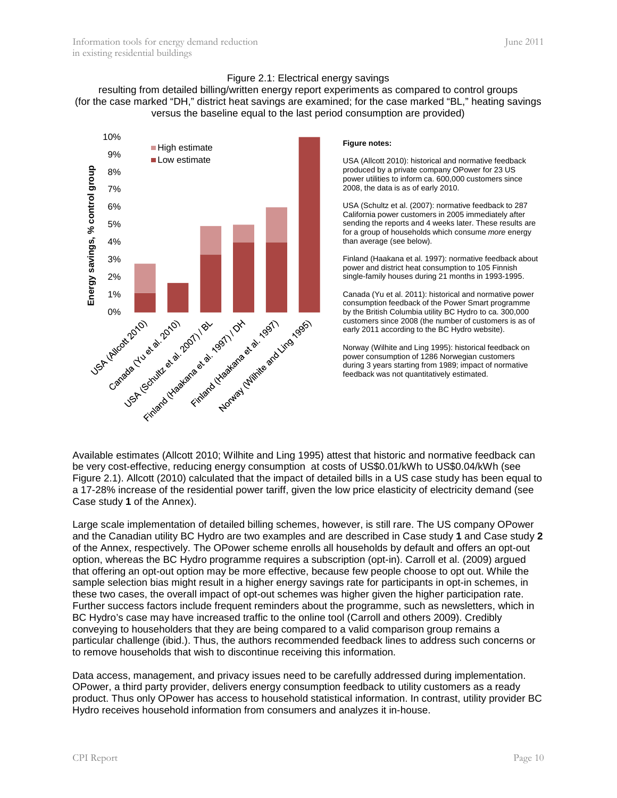#### Figure 2.1: Electrical energy savings

<span id="page-9-0"></span>resulting from detailed billing/written energy report experiments as compared to control groups (for the case marked "DH," district heat savings are examined; for the case marked "BL," heating savings versus the baseline equal to the last period consumption are provided)



#### **Figure notes:**

USA (Allcott 2010): historical and normative feedback produced by a private company OPower for 23 US power utilities to inform ca. 600,000 customers since 2008, the data is as of early 2010.

USA (Schultz et al. (2007): normative feedback to 287 California power customers in 2005 immediately after sending the reports and 4 weeks later. These results are for a group of households which consume *more* energy than average (see below).

Finland (Haakana et al. 1997): normative feedback about power and district heat consumption to 105 Finnish single-family houses during 21 months in 1993-1995.

Canada (Yu et al. 2011): historical and normative power consumption feedback of the Power Smart programme by the British Columbia utility BC Hydro to ca. 300,000 customers since 2008 (the number of customers is as of early 2011 according to the BC Hydro website).

Norway (Wilhite and Ling 1995): historical feedback on power consumption of 1286 Norwegian customers during 3 years starting from 1989; impact of normative feedback was not quantitatively estimated.

Available estimates (Allcott 2010; Wilhite and Ling 1995) attest that historic and normative feedback can be very cost-effective, reducing energy consumption at costs of US\$0.01/kWh to US\$0.04/kWh (see [Figure 2.1\)](#page-9-0). Allcott (2010) calculated that the impact of detailed bills in a US case study has been equal to a 17-28% increase of the residential power tariff, given the low price elasticity of electricity demand (see [Case study](#page-25-2) **1** of the Annex).

Large scale implementation of detailed billing schemes, however, is still rare. The US company OPower and the Canadian utility BC Hydro are two examples and are described in [Case study](#page-25-2) **1** and [Case study](#page-26-1) **2** of the Annex, respectively. The OPower scheme enrolls all households by default and offers an opt-out option, whereas the BC Hydro programme requires a subscription (opt-in). Carroll et al. (2009) argued that offering an opt-out option may be more effective, because few people choose to opt out. While the sample selection bias might result in a higher energy savings rate for participants in opt-in schemes, in these two cases, the overall impact of opt-out schemes was higher given the higher participation rate. Further success factors include frequent reminders about the programme, such as newsletters, which in BC Hydro's case may have increased traffic to the online tool (Carroll and others 2009). Credibly conveying to householders that they are being compared to a valid comparison group remains a particular challenge (ibid.). Thus, the authors recommended feedback lines to address such concerns or to remove households that wish to discontinue receiving this information.

Data access, management, and privacy issues need to be carefully addressed during implementation. OPower, a third party provider, delivers energy consumption feedback to utility customers as a ready product. Thus only OPower has access to household statistical information. In contrast, utility provider BC Hydro receives household information from consumers and analyzes it in-house.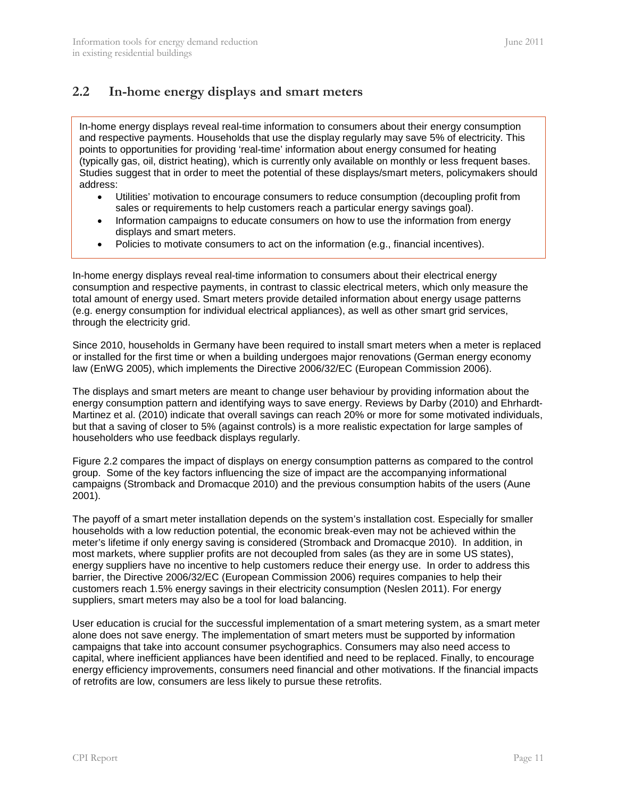### <span id="page-10-0"></span>**2.2 In-home energy displays and smart meters**

In-home energy displays reveal real-time information to consumers about their energy consumption and respective payments. Households that use the display regularly may save 5% of electricity. This points to opportunities for providing 'real-time' information about energy consumed for heating (typically gas, oil, district heating), which is currently only available on monthly or less frequent bases. Studies suggest that in order to meet the potential of these displays/smart meters, policymakers should address:

- Utilities' motivation to encourage consumers to reduce consumption (decoupling profit from sales or requirements to help customers reach a particular energy savings goal).
- Information campaigns to educate consumers on how to use the information from energy displays and smart meters.
- Policies to motivate consumers to act on the information (e.g., financial incentives).

In-home energy displays reveal real-time information to consumers about their electrical energy consumption and respective payments, in contrast to classic electrical meters, which only measure the total amount of energy used. Smart meters provide detailed information about energy usage patterns (e.g. energy consumption for individual electrical appliances), as well as other smart grid services, through the electricity grid.

Since 2010, households in Germany have been required to install smart meters when a meter is replaced or installed for the first time or when a building undergoes major renovations (German energy economy law (EnWG 2005), which implements the Directive 2006/32/EC (European Commission 2006).

The displays and smart meters are meant to change user behaviour by providing information about the energy consumption pattern and identifying ways to save energy. Reviews by Darby (2010) and Ehrhardt-Martinez et al. (2010) indicate that overall savings can reach 20% or more for some motivated individuals, but that a saving of closer to 5% (against controls) is a more realistic expectation for large samples of householders who use feedback displays regularly.

[Figure 2.2](#page-11-0) compares the impact of displays on energy consumption patterns as compared to the control group. Some of the key factors influencing the size of impact are the accompanying informational campaigns (Stromback and Dromacque 2010) and the previous consumption habits of the users (Aune 2001).

The payoff of a smart meter installation depends on the system's installation cost. Especially for smaller households with a low reduction potential, the economic break-even may not be achieved within the meter's lifetime if only energy saving is considered (Stromback and Dromacque 2010). In addition, in most markets, where supplier profits are not decoupled from sales (as they are in some US states), energy suppliers have no incentive to help customers reduce their energy use. In order to address this barrier, the Directive 2006/32/EC (European Commission 2006) requires companies to help their customers reach 1.5% energy savings in their electricity consumption (Neslen 2011). For energy suppliers, smart meters may also be a tool for load balancing.

User education is crucial for the successful implementation of a smart metering system, as a smart meter alone does not save energy. The implementation of smart meters must be supported by information campaigns that take into account consumer psychographics. Consumers may also need access to capital, where inefficient appliances have been identified and need to be replaced. Finally, to encourage energy efficiency improvements, consumers need financial and other motivations. If the financial impacts of retrofits are low, consumers are less likely to pursue these retrofits.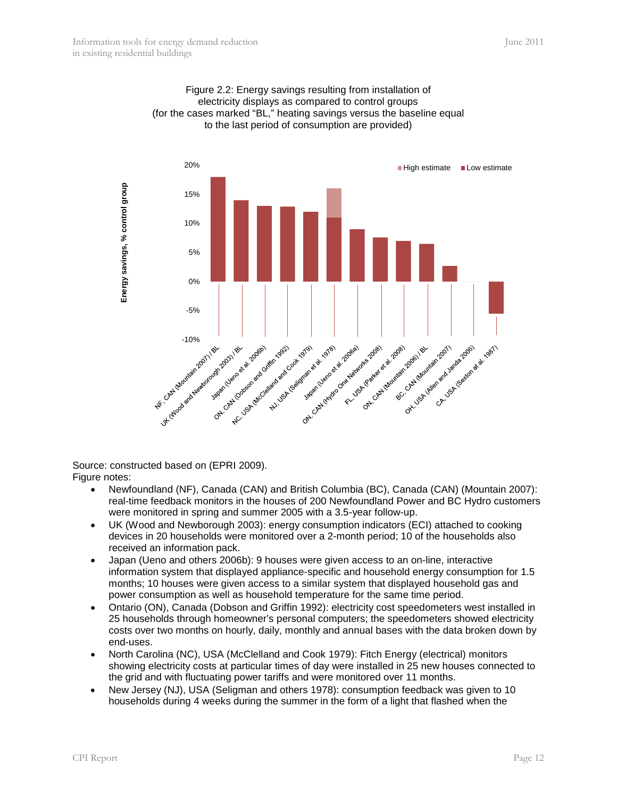<span id="page-11-0"></span>



Source: constructed based on (EPRI 2009). Figure notes:

- Newfoundland (NF), Canada (CAN) and British Columbia (BC), Canada (CAN) (Mountain 2007): real-time feedback monitors in the houses of 200 Newfoundland Power and BC Hydro customers were monitored in spring and summer 2005 with a 3.5-year follow-up.
- UK (Wood and Newborough 2003): energy consumption indicators (ECI) attached to cooking devices in 20 households were monitored over a 2-month period; 10 of the households also received an information pack.
- Japan (Ueno and others 2006b): 9 houses were given access to an on-line, interactive information system that displayed appliance-specific and household energy consumption for 1.5 months; 10 houses were given access to a similar system that displayed household gas and power consumption as well as household temperature for the same time period.
- Ontario (ON), Canada (Dobson and Griffin 1992): electricity cost speedometers west installed in 25 households through homeowner's personal computers; the speedometers showed electricity costs over two months on hourly, daily, monthly and annual bases with the data broken down by end-uses.
- North Carolina (NC), USA (McClelland and Cook 1979): Fitch Energy (electrical) monitors showing electricity costs at particular times of day were installed in 25 new houses connected to the grid and with fluctuating power tariffs and were monitored over 11 months.
- New Jersey (NJ), USA (Seligman and others 1978): consumption feedback was given to 10 households during 4 weeks during the summer in the form of a light that flashed when the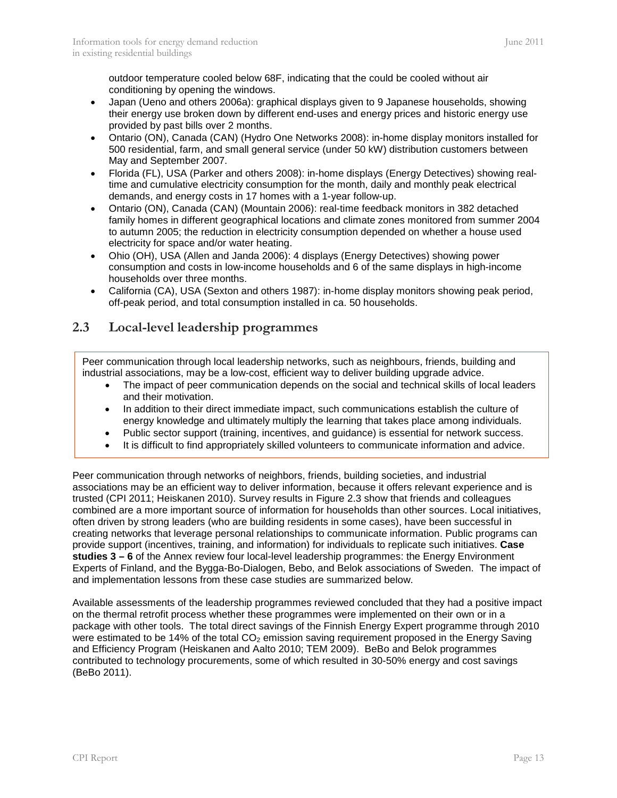outdoor temperature cooled below 68F, indicating that the could be cooled without air conditioning by opening the windows.

- Japan (Ueno and others 2006a): graphical displays given to 9 Japanese households, showing their energy use broken down by different end-uses and energy prices and historic energy use provided by past bills over 2 months.
- Ontario (ON), Canada (CAN) (Hydro One Networks 2008): in-home display monitors installed for 500 residential, farm, and small general service (under 50 kW) distribution customers between May and September 2007.
- Florida (FL), USA (Parker and others 2008): in-home displays (Energy Detectives) showing realtime and cumulative electricity consumption for the month, daily and monthly peak electrical demands, and energy costs in 17 homes with a 1-year follow-up.
- Ontario (ON), Canada (CAN) (Mountain 2006): real-time feedback monitors in 382 detached family homes in different geographical locations and climate zones monitored from summer 2004 to autumn 2005; the reduction in electricity consumption depended on whether a house used electricity for space and/or water heating.
- Ohio (OH), USA (Allen and Janda 2006): 4 displays (Energy Detectives) showing power consumption and costs in low-income households and 6 of the same displays in high-income households over three months.
- California (CA), USA (Sexton and others 1987): in-home display monitors showing peak period, off-peak period, and total consumption installed in ca. 50 households.

### <span id="page-12-0"></span>**2.3 Local-level leadership programmes**

Peer communication through local leadership networks, such as neighbours, friends, building and industrial associations, may be a low-cost, efficient way to deliver building upgrade advice.

- The impact of peer communication depends on the social and technical skills of local leaders and their motivation.
- In addition to their direct immediate impact, such communications establish the culture of energy knowledge and ultimately multiply the learning that takes place among individuals.
- Public sector support (training, incentives, and guidance) is essential for network success.
- It is difficult to find appropriately skilled volunteers to communicate information and advice.

Peer communication through networks of neighbors, friends, building societies, and industrial associations may be an efficient way to deliver information, because it offers relevant experience and is trusted (CPI 2011; Heiskanen 2010). Survey results in [Figure 2.3](#page-13-0) show that friends and colleagues combined are a more important source of information for households than other sources. Local initiatives, often driven by strong leaders (who are building residents in some cases), have been successful in creating networks that leverage personal relationships to communicate information. Public programs can provide support (incentives, training, and information) for individuals to replicate such initiatives. **Case studies 3 – 6** of the Annex review four local-level leadership programmes: the Energy Environment Experts of Finland, and the Bygga-Bo-Dialogen, Bebo, and Belok associations of Sweden. The impact of and implementation lessons from these case studies are summarized below.

Available assessments of the leadership programmes reviewed concluded that they had a positive impact on the thermal retrofit process whether these programmes were implemented on their own or in a package with other tools. The total direct savings of the Finnish Energy Expert programme through 2010 were estimated to be 14% of the total  $CO<sub>2</sub>$  emission saving requirement proposed in the Energy Saving and Efficiency Program (Heiskanen and Aalto 2010; TEM 2009). BeBo and Belok programmes contributed to technology procurements, some of which resulted in 30-50% energy and cost savings (BeBo 2011).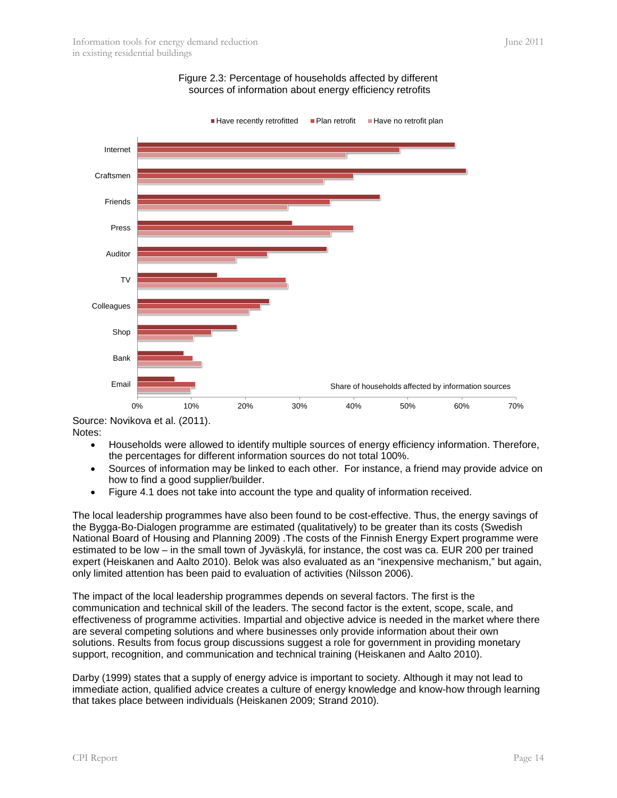<span id="page-13-0"></span>

#### Figure 2.3: Percentage of households affected by different sources of information about energy efficiency retrofits

Source: Novikova et al. (2011). Notes:

- Households were allowed to identify multiple sources of energy efficiency information. Therefore, the percentages for different information sources do not total 100%.
- Sources of information may be linked to each other. For instance, a friend may provide advice on how to find a good supplier/builder.
- Figure 4.1 does not take into account the type and quality of information received.

The local leadership programmes have also been found to be cost-effective. Thus, the energy savings of the Bygga-Bo-Dialogen programme are estimated (qualitatively) to be greater than its costs (Swedish National Board of Housing and Planning 2009) .The costs of the Finnish Energy Expert programme were estimated to be low – in the small town of Jyväskylä, for instance, the cost was ca. EUR 200 per trained expert (Heiskanen and Aalto 2010). Belok was also evaluated as an "inexpensive mechanism," but again, only limited attention has been paid to evaluation of activities (Nilsson 2006).

The impact of the local leadership programmes depends on several factors. The first is the communication and technical skill of the leaders. The second factor is the extent, scope, scale, and effectiveness of programme activities. Impartial and objective advice is needed in the market where there are several competing solutions and where businesses only provide information about their own solutions. Results from focus group discussions suggest a role for government in providing monetary support, recognition, and communication and technical training (Heiskanen and Aalto 2010).

Darby (1999) states that a supply of energy advice is important to society. Although it may not lead to immediate action, qualified advice creates a culture of energy knowledge and know-how through learning that takes place between individuals (Heiskanen 2009; Strand 2010).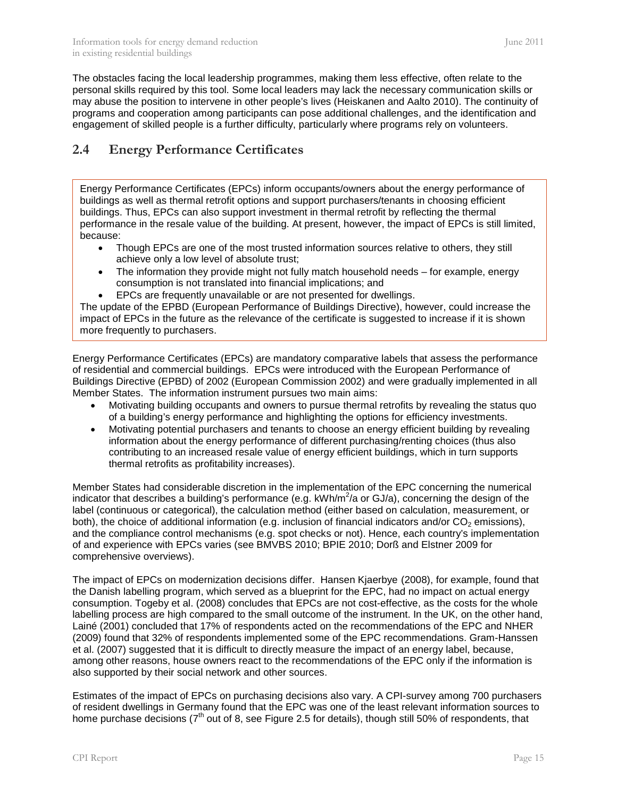The obstacles facing the local leadership programmes, making them less effective, often relate to the personal skills required by this tool. Some local leaders may lack the necessary communication skills or may abuse the position to intervene in other people's lives (Heiskanen and Aalto 2010). The continuity of programs and cooperation among participants can pose additional challenges, and the identification and engagement of skilled people is a further difficulty, particularly where programs rely on volunteers.

### <span id="page-14-0"></span>**2.4 Energy Performance Certificates**

Energy Performance Certificates (EPCs) inform occupants/owners about the energy performance of buildings as well as thermal retrofit options and support purchasers/tenants in choosing efficient buildings. Thus, EPCs can also support investment in thermal retrofit by reflecting the thermal performance in the resale value of the building. At present, however, the impact of EPCs is still limited, because:

- Though EPCs are one of the most trusted information sources relative to others, they still achieve only a low level of absolute trust;
- The information they provide might not fully match household needs for example, energy consumption is not translated into financial implications; and
- EPCs are frequently unavailable or are not presented for dwellings.

The update of the EPBD (European Performance of Buildings Directive), however, could increase the impact of EPCs in the future as the relevance of the certificate is suggested to increase if it is shown more frequently to purchasers.

Energy Performance Certificates (EPCs) are mandatory comparative labels that assess the performance of residential and commercial buildings. EPCs were introduced with the European Performance of Buildings Directive (EPBD) of 2002 (European Commission 2002) and were gradually implemented in all Member States. The information instrument pursues two main aims:

- Motivating building occupants and owners to pursue thermal retrofits by revealing the status quo of a building's energy performance and highlighting the options for efficiency investments.
- Motivating potential purchasers and tenants to choose an energy efficient building by revealing information about the energy performance of different purchasing/renting choices (thus also contributing to an increased resale value of energy efficient buildings, which in turn supports thermal retrofits as profitability increases).

Member States had considerable discretion in the implementation of the EPC concerning the numerical indicator that describes a building's performance (e.g.  $kWh/m^2/a$  or GJ/a), concerning the design of the label (continuous or categorical), the calculation method (either based on calculation, measurement, or both), the choice of additional information (e.g. inclusion of financial indicators and/or  $CO<sub>2</sub>$  emissions), and the compliance control mechanisms (e.g. spot checks or not). Hence, each country's implementation of and experience with EPCs varies (see BMVBS 2010; BPIE 2010; Dorß and Elstner 2009 for comprehensive overviews).

The impact of EPCs on modernization decisions differ. Hansen Kjaerbye (2008), for example, found that the Danish labelling program, which served as a blueprint for the EPC, had no impact on actual energy consumption. Togeby et al. (2008) concludes that EPCs are not cost-effective, as the costs for the whole labelling process are high compared to the small outcome of the instrument. In the UK, on the other hand, Lainé (2001) concluded that 17% of respondents acted on the recommendations of the EPC and NHER (2009) found that 32% of respondents implemented some of the EPC recommendations. Gram-Hanssen et al. (2007) suggested that it is difficult to directly measure the impact of an energy label, because, among other reasons, house owners react to the recommendations of the EPC only if the information is also supported by their social network and other sources.

Estimates of the impact of EPCs on purchasing decisions also vary. A CPI-survey among 700 purchasers of resident dwellings in Germany found that the EPC was one of the least relevant information sources to home purchase decisions ( $7<sup>th</sup>$  out of 8, see [Figure 2.5](#page-16-0) for details), though still 50% of respondents, that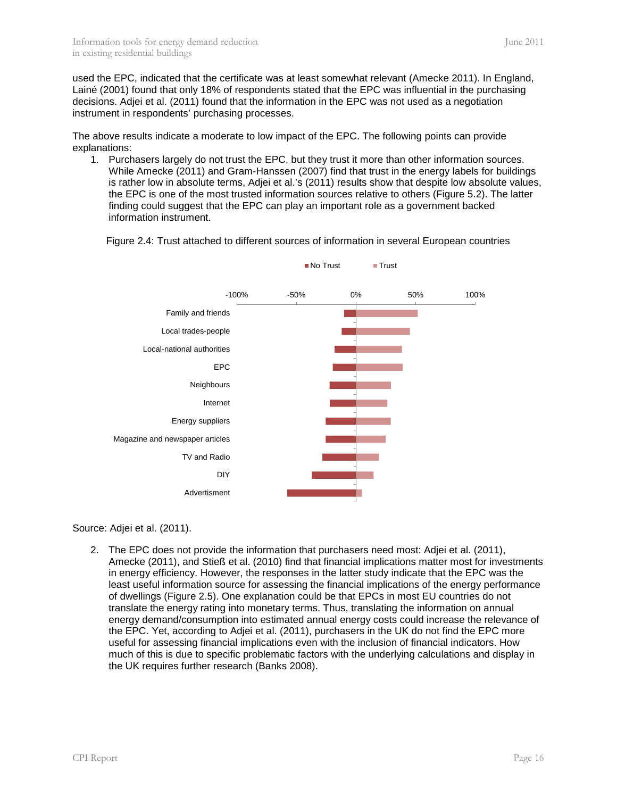used the EPC, indicated that the certificate was at least somewhat relevant (Amecke 2011). In England, Lainé (2001) found that only 18% of respondents stated that the EPC was influential in the purchasing decisions. Adjei et al. (2011) found that the information in the EPC was not used as a negotiation instrument in respondents' purchasing processes.

The above results indicate a moderate to low impact of the EPC. The following points can provide explanations:

1. Purchasers largely do not trust the EPC, but they trust it more than other information sources. While Amecke (2011) and Gram-Hanssen (2007) find that trust in the energy labels for buildings is rather low in absolute terms, Adjei et al.'s (2011) results show that despite low absolute values, the EPC is one of the most trusted information sources relative to others (Figure 5.2). The latter finding could suggest that the EPC can play an important role as a government backed information instrument.

Figure 2.4: Trust attached to different sources of information in several European countries



Source: Adjei et al. (2011).

2. The EPC does not provide the information that purchasers need most: Adjei et al. (2011), Amecke (2011), and Stieß et al. (2010) find that financial implications matter most for investments in energy efficiency. However, the responses in the latter study indicate that the EPC was the least useful information source for assessing the financial implications of the energy performance of dwellings [\(Figure 2.5\)](#page-16-0). One explanation could be that EPCs in most EU countries do not translate the energy rating into monetary terms. Thus, translating the information on annual energy demand/consumption into estimated annual energy costs could increase the relevance of the EPC. Yet, according to Adjei et al. (2011), purchasers in the UK do not find the EPC more useful for assessing financial implications even with the inclusion of financial indicators. How much of this is due to specific problematic factors with the underlying calculations and display in the UK requires further research (Banks 2008).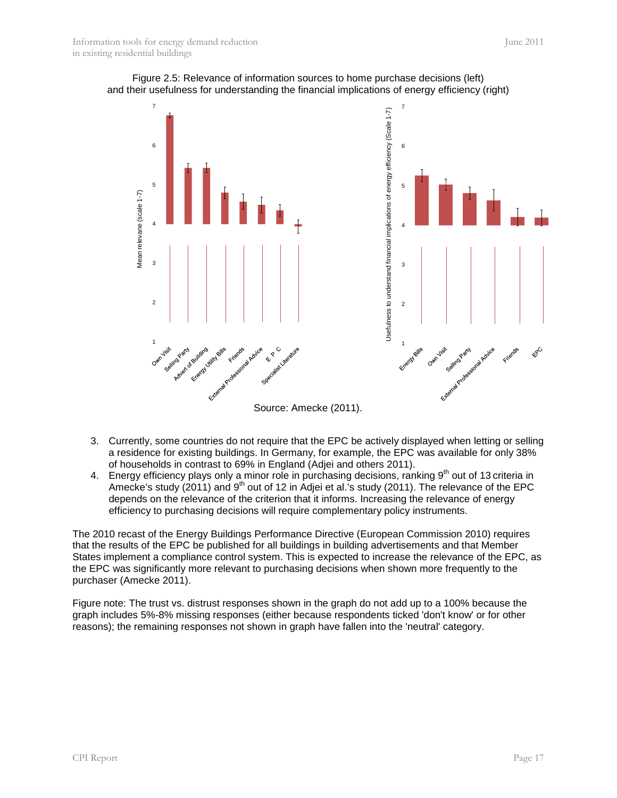<span id="page-16-0"></span>



- 3. Currently, some countries do not require that the EPC be actively displayed when letting or selling a residence for existing buildings. In Germany, for example, the EPC was available for only 38% of households in contrast to 69% in England (Adjei and others 2011).
- 4. Energy efficiency plays only a minor role in purchasing decisions, ranking 9<sup>th</sup> out of 13 criteria in Amecke's study (2011) and 9<sup>th</sup> out of 12 in Adjei et al.'s study (2011). The relevance of the EPC depends on the relevance of the criterion that it informs. Increasing the relevance of energy efficiency to purchasing decisions will require complementary policy instruments.

The 2010 recast of the Energy Buildings Performance Directive (European Commission 2010) requires that the results of the EPC be published for all buildings in building advertisements and that Member States implement a compliance control system. This is expected to increase the relevance of the EPC, as the EPC was significantly more relevant to purchasing decisions when shown more frequently to the purchaser (Amecke 2011).

Figure note: The trust vs. distrust responses shown in the graph do not add up to a 100% because the graph includes 5%-8% missing responses (either because respondents ticked 'don't know' or for other reasons); the remaining responses not shown in graph have fallen into the 'neutral' category.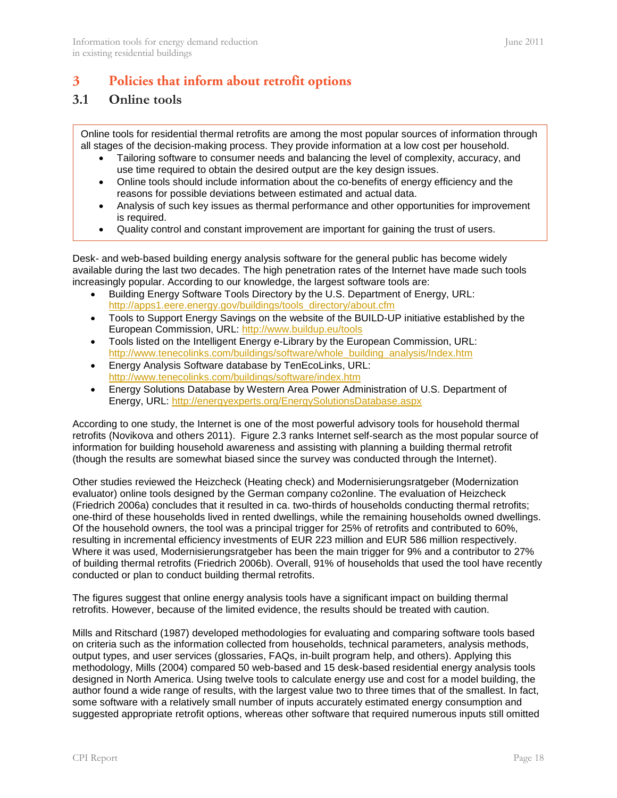### <span id="page-17-0"></span>**3 Policies that inform about retrofit options**

### <span id="page-17-1"></span>**3.1 Online tools**

Online tools for residential thermal retrofits are among the most popular sources of information through all stages of the decision-making process. They provide information at a low cost per household.

- Tailoring software to consumer needs and balancing the level of complexity, accuracy, and use time required to obtain the desired output are the key design issues.
- Online tools should include information about the co-benefits of energy efficiency and the reasons for possible deviations between estimated and actual data.
- Analysis of such key issues as thermal performance and other opportunities for improvement is required.
- Quality control and constant improvement are important for gaining the trust of users.

Desk- and web-based building energy analysis software for the general public has become widely available during the last two decades. The high penetration rates of the Internet have made such tools increasingly popular. According to our knowledge, the largest software tools are:

- Building Energy Software Tools Directory by the U.S. Department of Energy, URL: [http://apps1.eere.energy.gov/buildings/tools\\_directory/about.cfm](http://apps1.eere.energy.gov/buildings/tools_directory/about.cfm)
- Tools to Support Energy Savings on the website of the BUILD-UP initiative established by the European Commission, URL:<http://www.buildup.eu/tools>
- Tools listed on the Intelligent Energy e-Library by the European Commission, URL: [http://www.tenecolinks.com/buildings/software/whole\\_building\\_analysis/Index.htm](http://www.tenecolinks.com/buildings/software/whole_building_analysis/Index.htm)
- Energy Analysis Software database by TenEcoLinks, URL: <http://www.tenecolinks.com/buildings/software/index.htm>
- Energy Solutions Database by Western Area Power Administration of U.S. Department of Energy, URL:<http://energyexperts.org/EnergySolutionsDatabase.aspx>

According to one study, the Internet is one of the most powerful advisory tools for household thermal retrofits (Novikova and others 2011). [Figure 2.3](#page-13-0) ranks Internet self-search as the most popular source of information for building household awareness and assisting with planning a building thermal retrofit (though the results are somewhat biased since the survey was conducted through the Internet).

Other studies reviewed the Heizcheck (Heating check) and Modernisierungsratgeber (Modernization evaluator) online tools designed by the German company co2online. The evaluation of Heizcheck (Friedrich 2006a) concludes that it resulted in ca. two-thirds of households conducting thermal retrofits; one-third of these households lived in rented dwellings, while the remaining households owned dwellings. Of the household owners, the tool was a principal trigger for 25% of retrofits and contributed to 60%, resulting in incremental efficiency investments of EUR 223 million and EUR 586 million respectively. Where it was used, Modernisierungsratgeber has been the main trigger for 9% and a contributor to 27% of building thermal retrofits (Friedrich 2006b). Overall, 91% of households that used the tool have recently conducted or plan to conduct building thermal retrofits.

The figures suggest that online energy analysis tools have a significant impact on building thermal retrofits. However, because of the limited evidence, the results should be treated with caution.

Mills and Ritschard (1987) developed methodologies for evaluating and comparing software tools based on criteria such as the information collected from households, technical parameters, analysis methods, output types, and user services (glossaries, FAQs, in-built program help, and others). Applying this methodology, Mills (2004) compared 50 web-based and 15 desk-based residential energy analysis tools designed in North America. Using twelve tools to calculate energy use and cost for a model building, the author found a wide range of results, with the largest value two to three times that of the smallest. In fact, some software with a relatively small number of inputs accurately estimated energy consumption and suggested appropriate retrofit options, whereas other software that required numerous inputs still omitted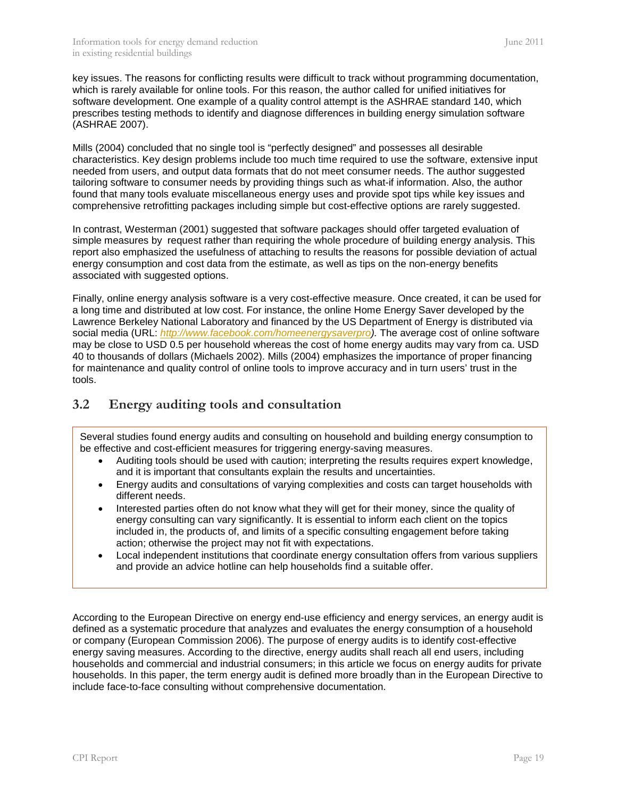key issues. The reasons for conflicting results were difficult to track without programming documentation, which is rarely available for online tools. For this reason, the author called for unified initiatives for software development. One example of a quality control attempt is the ASHRAE standard 140, which prescribes testing methods to identify and diagnose differences in building energy simulation software (ASHRAE 2007).

Mills (2004) concluded that no single tool is "perfectly designed" and possesses all desirable characteristics. Key design problems include too much time required to use the software, extensive input needed from users, and output data formats that do not meet consumer needs. The author suggested tailoring software to consumer needs by providing things such as what-if information. Also, the author found that many tools evaluate miscellaneous energy uses and provide spot tips while key issues and comprehensive retrofitting packages including simple but cost-effective options are rarely suggested.

In contrast, Westerman (2001) suggested that software packages should offer targeted evaluation of simple measures by request rather than requiring the whole procedure of building energy analysis. This report also emphasized the usefulness of attaching to results the reasons for possible deviation of actual energy consumption and cost data from the estimate, as well as tips on the non-energy benefits associated with suggested options.

Finally, online energy analysis software is a very cost-effective measure. Once created, it can be used for a long time and distributed at low cost. For instance, the online Home Energy Saver developed by the Lawrence Berkeley National Laboratory and financed by the US Department of Energy is distributed via social media (URL: *[http://www.facebook.com/homeenergysaverpro\)](http://www.facebook.com/homeenergysaverpro).* The average cost of online software may be close to USD 0.5 per household whereas the cost of home energy audits may vary from ca. USD 40 to thousands of dollars (Michaels 2002). Mills (2004) emphasizes the importance of proper financing for maintenance and quality control of online tools to improve accuracy and in turn users' trust in the tools.

### <span id="page-18-0"></span>**3.2 Energy auditing tools and consultation**

Several studies found energy audits and consulting on household and building energy consumption to be effective and cost-efficient measures for triggering energy-saving measures.

- Auditing tools should be used with caution; interpreting the results requires expert knowledge, and it is important that consultants explain the results and uncertainties.
- Energy audits and consultations of varying complexities and costs can target households with different needs.
- Interested parties often do not know what they will get for their money, since the quality of energy consulting can vary significantly. It is essential to inform each client on the topics included in, the products of, and limits of a specific consulting engagement before taking action; otherwise the project may not fit with expectations.
- Local independent institutions that coordinate energy consultation offers from various suppliers and provide an advice hotline can help households find a suitable offer.

According to the European Directive on energy end-use efficiency and energy services, an energy audit is defined as a systematic procedure that analyzes and evaluates the energy consumption of a household or company (European Commission 2006). The purpose of energy audits is to identify cost-effective energy saving measures. According to the directive, energy audits shall reach all end users, including households and commercial and industrial consumers; in this article we focus on energy audits for private households. In this paper, the term energy audit is defined more broadly than in the European Directive to include face-to-face consulting without comprehensive documentation.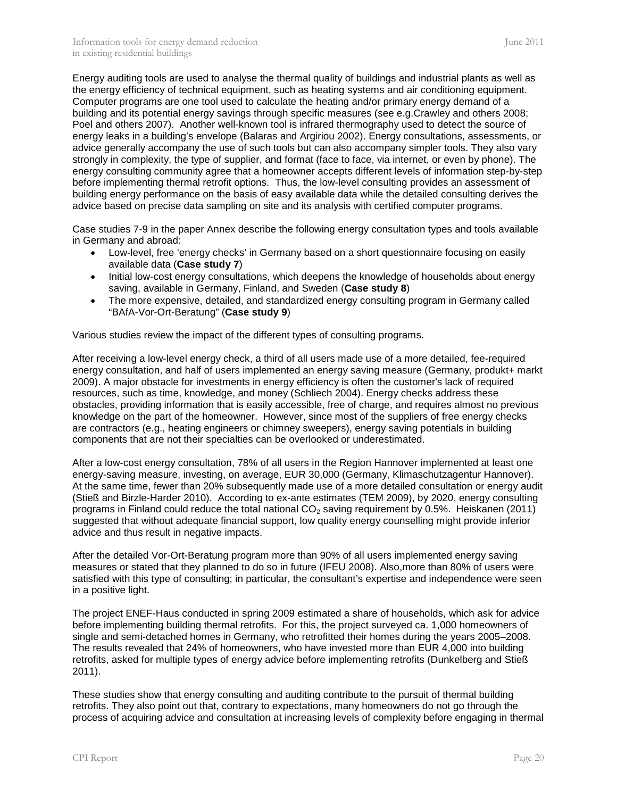Energy auditing tools are used to analyse the thermal quality of buildings and industrial plants as well as the energy efficiency of technical equipment, such as heating systems and air conditioning equipment. Computer programs are one tool used to calculate the heating and/or primary energy demand of a building and its potential energy savings through specific measures (see e.g.Crawley and others 2008; Poel and others 2007). Another well-known tool is infrared thermography used to detect the source of energy leaks in a building's envelope (Balaras and Argiriou 2002). Energy consultations, assessments, or advice generally accompany the use of such tools but can also accompany simpler tools. They also vary strongly in complexity, the type of supplier, and format (face to face, via internet, or even by phone). The energy consulting community agree that a homeowner accepts different levels of information step-by-step before implementing thermal retrofit options. Thus, the low-level consulting provides an assessment of building energy performance on the basis of easy available data while the detailed consulting derives the advice based on precise data sampling on site and its analysis with certified computer programs.

Case studies 7-9 in the paper Annex describe the following energy consultation types and tools available in Germany and abroad:

- Low-level, free 'energy checks' in Germany based on a short questionnaire focusing on easily available data (**[Case study 7](#page-27-1)**)
- Initial low-cost energy consultations, which deepens the knowledge of households about energy saving, available in Germany, Finland, and Sweden (**[Case study 8](#page-28-0)**)
- The more expensive, detailed, and standardized energy consulting program in Germany called "BAfA-Vor-Ort-Beratung" (**[Case study 9](#page-29-0)**)

Various studies review the impact of the different types of consulting programs.

After receiving a low-level energy check, a third of all users made use of a more detailed, fee-required energy consultation, and half of users implemented an energy saving measure (Germany, produkt+ markt 2009). A major obstacle for investments in energy efficiency is often the customer's lack of required resources, such as time, knowledge, and money (Schliech 2004). Energy checks address these obstacles, providing information that is easily accessible, free of charge, and requires almost no previous knowledge on the part of the homeowner. However, since most of the suppliers of free energy checks are contractors (e.g., heating engineers or chimney sweepers), energy saving potentials in building components that are not their specialties can be overlooked or underestimated.

After a low-cost energy consultation, 78% of all users in the Region Hannover implemented at least one energy-saving measure, investing, on average, EUR 30,000 (Germany, Klimaschutzagentur Hannover). At the same time, fewer than 20% subsequently made use of a more detailed consultation or energy audit (Stieß and Birzle-Harder 2010). According to ex-ante estimates (TEM 2009), by 2020, energy consulting programs in Finland could reduce the total national  $CO<sub>2</sub>$  saving requirement by 0.5%. Heiskanen (2011) suggested that without adequate financial support, low quality energy counselling might provide inferior advice and thus result in negative impacts.

After the detailed Vor-Ort-Beratung program more than 90% of all users implemented energy saving measures or stated that they planned to do so in future (IFEU 2008). Also,more than 80% of users were satisfied with this type of consulting; in particular, the consultant's expertise and independence were seen in a positive light.

The project ENEF-Haus conducted in spring 2009 estimated a share of households, which ask for advice before implementing building thermal retrofits. For this, the project surveyed ca. 1,000 homeowners of single and semi-detached homes in Germany, who retrofitted their homes during the years 2005–2008. The results revealed that 24% of homeowners, who have invested more than EUR 4,000 into building retrofits, asked for multiple types of energy advice before implementing retrofits (Dunkelberg and Stieß 2011).

These studies show that energy consulting and auditing contribute to the pursuit of thermal building retrofits. They also point out that, contrary to expectations, many homeowners do not go through the process of acquiring advice and consultation at increasing levels of complexity before engaging in thermal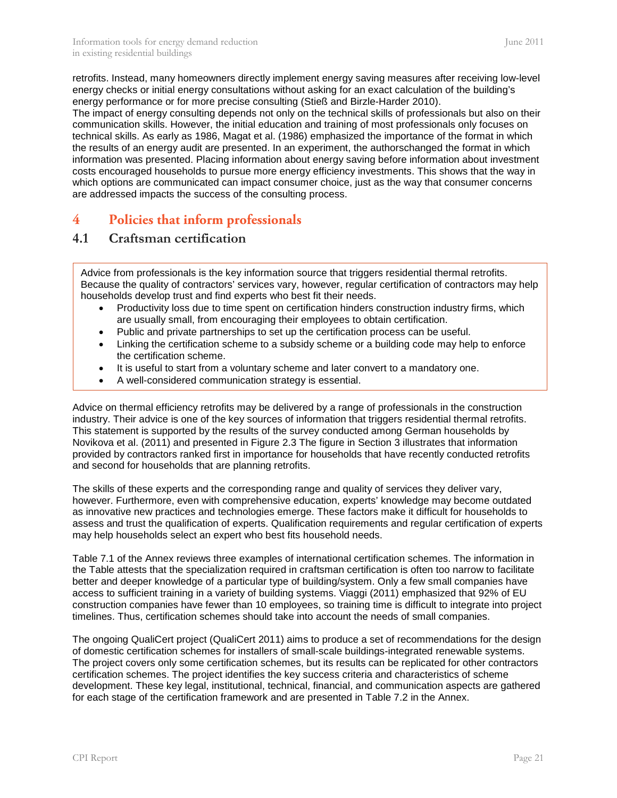retrofits. Instead, many homeowners directly implement energy saving measures after receiving low-level energy checks or initial energy consultations without asking for an exact calculation of the building's energy performance or for more precise consulting (Stieß and Birzle-Harder 2010).

The impact of energy consulting depends not only on the technical skills of professionals but also on their communication skills. However, the initial education and training of most professionals only focuses on technical skills. As early as 1986, Magat et al. (1986) emphasized the importance of the format in which the results of an energy audit are presented. In an experiment, the authorschanged the format in which information was presented. Placing information about energy saving before information about investment costs encouraged households to pursue more energy efficiency investments. This shows that the way in which options are communicated can impact consumer choice, just as the way that consumer concerns are addressed impacts the success of the consulting process.

### <span id="page-20-0"></span>**4 Policies that inform professionals**

### <span id="page-20-1"></span>**4.1 Craftsman certification**

Advice from professionals is the key information source that triggers residential thermal retrofits. Because the quality of contractors' services vary, however, regular certification of contractors may help households develop trust and find experts who best fit their needs.

- Productivity loss due to time spent on certification hinders construction industry firms, which are usually small, from encouraging their employees to obtain certification.
- Public and private partnerships to set up the certification process can be useful.
- Linking the certification scheme to a subsidy scheme or a building code may help to enforce the certification scheme.
- It is useful to start from a voluntary scheme and later convert to a mandatory one.
- A well-considered communication strategy is essential.

Advice on thermal efficiency retrofits may be delivered by a range of professionals in the construction industry. Their advice is one of the key sources of information that triggers residential thermal retrofits. This statement is supported by the results of the survey conducted among German households by Novikova et al. (2011) and presented in [Figure 2.3](#page-13-0) The figure in Section [3](#page-17-0) illustrates that information provided by contractors ranked first in importance for households that have recently conducted retrofits and second for households that are planning retrofits.

The skills of these experts and the corresponding range and quality of services they deliver vary, however. Furthermore, even with comprehensive education, experts' knowledge may become outdated as innovative new practices and technologies emerge. These factors make it difficult for households to assess and trust the qualification of experts. Qualification requirements and regular certification of experts may help households select an expert who best fits household needs.

[Table 7.1](#page-30-1) of the Annex reviews three examples of international certification schemes. The information in the Table attests that the specialization required in craftsman certification is often too narrow to facilitate better and deeper knowledge of a particular type of building/system. Only a few small companies have access to sufficient training in a variety of building systems. Viaggi (2011) emphasized that 92% of EU construction companies have fewer than 10 employees, so training time is difficult to integrate into project timelines. Thus, certification schemes should take into account the needs of small companies.

The ongoing QualiCert project (QualiCert 2011) aims to produce a set of recommendations for the design of domestic certification schemes for installers of small-scale buildings-integrated renewable systems. The project covers only some certification schemes, but its results can be replicated for other contractors certification schemes. The project identifies the key success criteria and characteristics of scheme development. These key legal, institutional, technical, financial, and communication aspects are gathered for each stage of the certification framework and are presented in [Table 7.2](#page-31-0) in the Annex.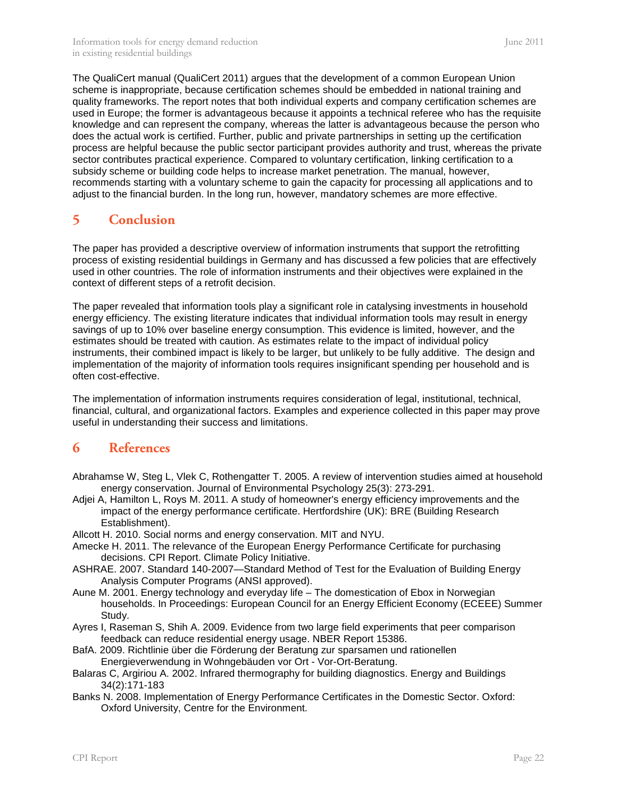The QualiCert manual (QualiCert 2011) argues that the development of a common European Union scheme is inappropriate, because certification schemes should be embedded in national training and quality frameworks. The report notes that both individual experts and company certification schemes are used in Europe; the former is advantageous because it appoints a technical referee who has the requisite knowledge and can represent the company, whereas the latter is advantageous because the person who does the actual work is certified. Further, public and private partnerships in setting up the certification process are helpful because the public sector participant provides authority and trust, whereas the private sector contributes practical experience. Compared to voluntary certification, linking certification to a subsidy scheme or building code helps to increase market penetration. The manual, however, recommends starting with a voluntary scheme to gain the capacity for processing all applications and to adjust to the financial burden. In the long run, however, mandatory schemes are more effective.

### <span id="page-21-0"></span>**5 Conclusion**

The paper has provided a descriptive overview of information instruments that support the retrofitting process of existing residential buildings in Germany and has discussed a few policies that are effectively used in other countries. The role of information instruments and their objectives were explained in the context of different steps of a retrofit decision.

The paper revealed that information tools play a significant role in catalysing investments in household energy efficiency. The existing literature indicates that individual information tools may result in energy savings of up to 10% over baseline energy consumption. This evidence is limited, however, and the estimates should be treated with caution. As estimates relate to the impact of individual policy instruments, their combined impact is likely to be larger, but unlikely to be fully additive. The design and implementation of the majority of information tools requires insignificant spending per household and is often cost-effective.

The implementation of information instruments requires consideration of legal, institutional, technical, financial, cultural, and organizational factors. Examples and experience collected in this paper may prove useful in understanding their success and limitations.

### <span id="page-21-1"></span>**6 References**

- Abrahamse W, Steg L, Vlek C, Rothengatter T. 2005. A review of intervention studies aimed at household energy conservation. Journal of Environmental Psychology 25(3): 273-291.
- Adjei A, Hamilton L, Roys M. 2011. A study of homeowner's energy efficiency improvements and the impact of the energy performance certificate. Hertfordshire (UK): BRE (Building Research Establishment).
- Allcott H. 2010. Social norms and energy conservation. MIT and NYU.
- Amecke H. 2011. The relevance of the European Energy Performance Certificate for purchasing decisions. CPI Report. Climate Policy Initiative.
- ASHRAE. 2007. Standard 140-2007—Standard Method of Test for the Evaluation of Building Energy Analysis Computer Programs (ANSI approved).
- Aune M. 2001. Energy technology and everyday life The domestication of Ebox in Norwegian households. In Proceedings: European Council for an Energy Efficient Economy (ECEEE) Summer Study.
- Ayres I, Raseman S, Shih A. 2009. Evidence from two large field experiments that peer comparison feedback can reduce residential energy usage. NBER Report 15386.
- BafA. 2009. Richtlinie über die Förderung der Beratung zur sparsamen und rationellen Energieverwendung in Wohngebäuden vor Ort - Vor-Ort-Beratung.
- Balaras C, Argiriou A. 2002. Infrared thermography for building diagnostics. Energy and Buildings 34(2):171-183
- Banks N. 2008. Implementation of Energy Performance Certificates in the Domestic Sector. Oxford: Oxford University, Centre for the Environment.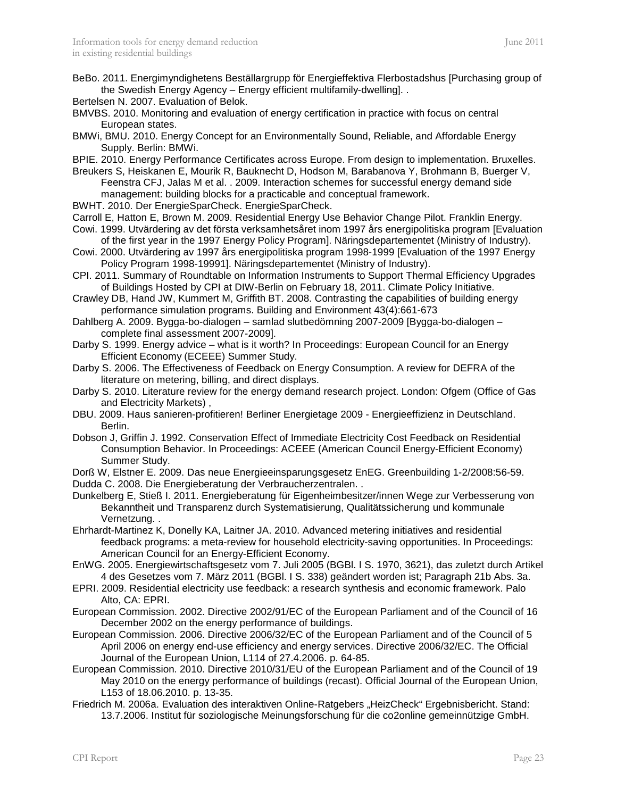Bertelsen N. 2007. Evaluation of Belok.

- BMVBS. 2010. Monitoring and evaluation of energy certification in practice with focus on central European states.
- BMWi, BMU. 2010. Energy Concept for an Environmentally Sound, Reliable, and Affordable Energy Supply. Berlin: BMWi.

BPIE. 2010. Energy Performance Certificates across Europe. From design to implementation. Bruxelles.

Breukers S, Heiskanen E, Mourik R, Bauknecht D, Hodson M, Barabanova Y, Brohmann B, Buerger V, Feenstra CFJ, Jalas M et al. . 2009. Interaction schemes for successful energy demand side management: building blocks for a practicable and conceptual framework.

- BWHT. 2010. Der EnergieSparCheck. EnergieSparCheck.
- Carroll E, Hatton E, Brown M. 2009. Residential Energy Use Behavior Change Pilot. Franklin Energy.
- Cowi. 1999. Utvärdering av det första verksamhetsåret inom 1997 års energipolitiska program [Evaluation of the first year in the 1997 Energy Policy Program]. Näringsdepartementet (Ministry of Industry).
- Cowi. 2000. Utvärdering av 1997 års energipolitiska program 1998-1999 [Evaluation of the 1997 Energy Policy Program 1998-19991]. Näringsdepartementet (Ministry of Industry).
- CPI. 2011. Summary of Roundtable on Information Instruments to Support Thermal Efficiency Upgrades of Buildings Hosted by CPI at DIW-Berlin on February 18, 2011. Climate Policy Initiative.
- Crawley DB, Hand JW, Kummert M, Griffith BT. 2008. Contrasting the capabilities of building energy performance simulation programs. Building and Environment 43(4):661-673
- Dahlberg A. 2009. Bygga-bo-dialogen samlad slutbedömning 2007-2009 [Bygga-bo-dialogen complete final assessment 2007-2009].
- Darby S. 1999. Energy advice what is it worth? In Proceedings: European Council for an Energy Efficient Economy (ECEEE) Summer Study.
- Darby S. 2006. The Effectiveness of Feedback on Energy Consumption. A review for DEFRA of the literature on metering, billing, and direct displays.
- Darby S. 2010. Literature review for the energy demand research project. London: Ofgem (Office of Gas and Electricity Markets) ,
- DBU. 2009. Haus sanieren-profitieren! Berliner Energietage 2009 Energieeffizienz in Deutschland. Berlin.
- Dobson J, Griffin J. 1992. Conservation Effect of Immediate Electricity Cost Feedback on Residential Consumption Behavior. In Proceedings: ACEEE (American Council Energy-Efficient Economy) Summer Study.
- Dorß W, Elstner E. 2009. Das neue Energieeinsparungsgesetz EnEG. Greenbuilding 1-2/2008:56-59.
- Dudda C. 2008. Die Energieberatung der Verbraucherzentralen. .

Dunkelberg E, Stieß I. 2011. Energieberatung für Eigenheimbesitzer/innen Wege zur Verbesserung von Bekanntheit und Transparenz durch Systematisierung, Qualitätssicherung und kommunale Vernetzung. .

- Ehrhardt-Martinez K, Donelly KA, Laitner JA. 2010. Advanced metering initiatives and residential feedback programs: a meta-review for household electricity-saving opportunities. In Proceedings: American Council for an Energy-Efficient Economy.
- EnWG. 2005. Energiewirtschaftsgesetz vom 7. Juli 2005 (BGBl. I S. 1970, 3621), das zuletzt durch Artikel 4 des Gesetzes vom 7. März 2011 (BGBl. I S. 338) geändert worden ist; Paragraph 21b Abs. 3a.
- EPRI. 2009. Residential electricity use feedback: a research synthesis and economic framework. Palo Alto, CA: EPRI.
- European Commission. 2002. Directive 2002/91/EC of the European Parliament and of the Council of 16 December 2002 on the energy performance of buildings.
- European Commission. 2006. Directive 2006/32/EC of the European Parliament and of the Council of 5 April 2006 on energy end-use efficiency and energy services. Directive 2006/32/EC. The Official Journal of the European Union, L114 of 27.4.2006. p. 64-85.
- European Commission. 2010. Directive 2010/31/EU of the European Parliament and of the Council of 19 May 2010 on the energy performance of buildings (recast). Official Journal of the European Union, L153 of 18.06.2010. p. 13-35.
- Friedrich M. 2006a. Evaluation des interaktiven Online-Ratgebers "HeizCheck" Ergebnisbericht. Stand: 13.7.2006. Institut für soziologische Meinungsforschung für die co2online gemeinnützige GmbH.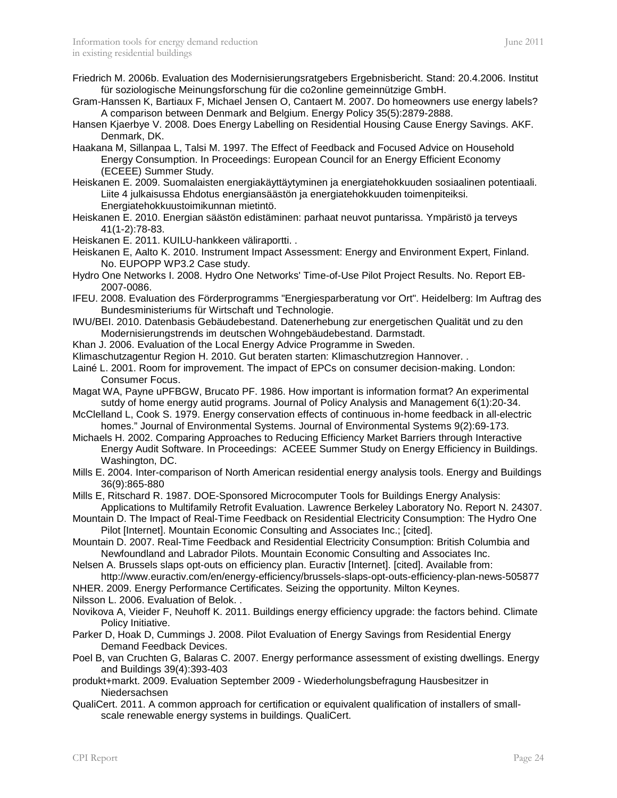- Friedrich M. 2006b. Evaluation des Modernisierungsratgebers Ergebnisbericht. Stand: 20.4.2006. Institut für soziologische Meinungsforschung für die co2online gemeinnützige GmbH.
- Gram-Hanssen K, Bartiaux F, Michael Jensen O, Cantaert M. 2007. Do homeowners use energy labels? A comparison between Denmark and Belgium. Energy Policy 35(5):2879-2888.
- Hansen Kjaerbye V. 2008. Does Energy Labelling on Residential Housing Cause Energy Savings. AKF. Denmark, DK.

Haakana M, Sillanpaa L, Talsi M. 1997. The Effect of Feedback and Focused Advice on Household Energy Consumption. In Proceedings: European Council for an Energy Efficient Economy (ECEEE) Summer Study.

- Heiskanen E. 2009. Suomalaisten energiakäyttäytyminen ja energiatehokkuuden sosiaalinen potentiaali. Liite 4 julkaisussa Ehdotus energiansäästön ja energiatehokkuuden toimenpiteiksi. Energiatehokkuustoimikunnan mietintö.
- Heiskanen E. 2010. Energian säästön edistäminen: parhaat neuvot puntarissa. Ympäristö ja terveys 41(1-2):78-83.
- Heiskanen E. 2011. KUILU-hankkeen väliraportti. .
- Heiskanen E, Aalto K. 2010. Instrument Impact Assessment: Energy and Environment Expert, Finland. No. EUPOPP WP3.2 Case study.
- Hydro One Networks I. 2008. Hydro One Networks' Time-of-Use Pilot Project Results. No. Report EB-2007-0086.
- IFEU. 2008. Evaluation des Förderprogramms "Energiesparberatung vor Ort". Heidelberg: Im Auftrag des Bundesministeriums für Wirtschaft und Technologie.
- IWU/BEI. 2010. Datenbasis Gebäudebestand. Datenerhebung zur energetischen Qualität und zu den Modernisierungstrends im deutschen Wohngebäudebestand. Darmstadt.
- Khan J. 2006. Evaluation of the Local Energy Advice Programme in Sweden.
- Klimaschutzagentur Region H. 2010. Gut beraten starten: Klimaschutzregion Hannover. .
- Lainé L. 2001. Room for improvement. The impact of EPCs on consumer decision-making. London: Consumer Focus.
- Magat WA, Payne uPFBGW, Brucato PF. 1986. How important is information format? An experimental sutdy of home energy autid programs. Journal of Policy Analysis and Management 6(1):20-34.
- McClelland L, Cook S. 1979. Energy conservation effects of continuous in-home feedback in all-electric homes." Journal of Environmental Systems. Journal of Environmental Systems 9(2):69-173.
- Michaels H. 2002. Comparing Approaches to Reducing Efficiency Market Barriers through Interactive Energy Audit Software. In Proceedings: ACEEE Summer Study on Energy Efficiency in Buildings. Washington, DC.
- Mills E. 2004. Inter-comparison of North American residential energy analysis tools. Energy and Buildings 36(9):865-880
- Mills E, Ritschard R. 1987. DOE-Sponsored Microcomputer Tools for Buildings Energy Analysis: Applications to Multifamily Retrofit Evaluation. Lawrence Berkeley Laboratory No. Report N. 24307.
- Mountain D. The Impact of Real-Time Feedback on Residential Electricity Consumption: The Hydro One Pilot [Internet]. Mountain Economic Consulting and Associates Inc.; [cited].
- Mountain D. 2007. Real-Time Feedback and Residential Electricity Consumption: British Columbia and Newfoundland and Labrador Pilots. Mountain Economic Consulting and Associates Inc.
- Nelsen A. Brussels slaps opt-outs on efficiency plan. Euractiv [Internet]. [cited]. Available from: http://www.euractiv.com/en/energy-efficiency/brussels-slaps-opt-outs-efficiency-plan-news-505877
- NHER. 2009. Energy Performance Certificates. Seizing the opportunity. Milton Keynes.
- Nilsson L. 2006. Evaluation of Belok. .
- Novikova A, Vieider F, Neuhoff K. 2011. Buildings energy efficiency upgrade: the factors behind. Climate Policy Initiative.
- Parker D, Hoak D, Cummings J. 2008. Pilot Evaluation of Energy Savings from Residential Energy Demand Feedback Devices.
- Poel B, van Cruchten G, Balaras C. 2007. Energy performance assessment of existing dwellings. Energy and Buildings 39(4):393-403
- produkt+markt. 2009. Evaluation September 2009 Wiederholungsbefragung Hausbesitzer in Niedersachsen
- QualiCert. 2011. A common approach for certification or equivalent qualification of installers of smallscale renewable energy systems in buildings. QualiCert.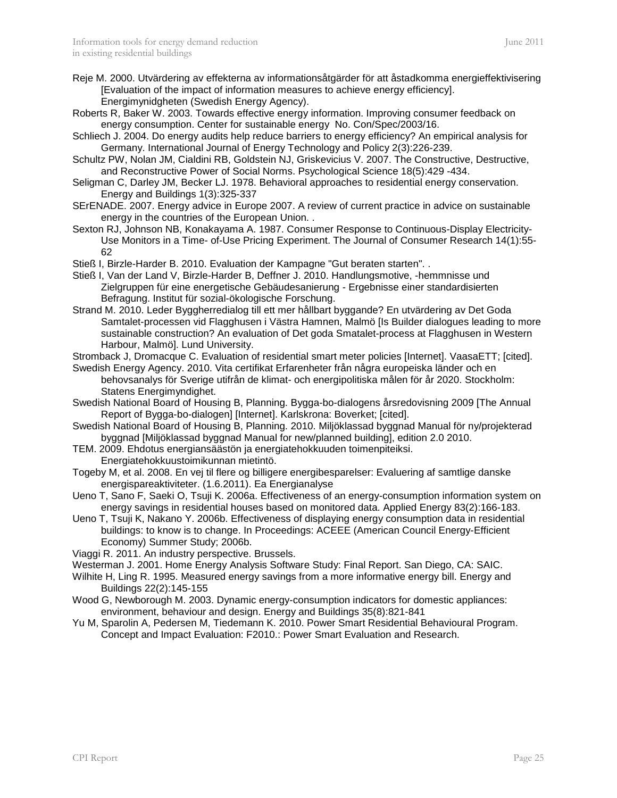- Reje M. 2000. Utvärdering av effekterna av informationsåtgärder för att åstadkomma energieffektivisering [Evaluation of the impact of information measures to achieve energy efficiency]. Energimynidgheten (Swedish Energy Agency).
- Roberts R, Baker W. 2003. Towards effective energy information. Improving consumer feedback on energy consumption. Center for sustainable energy No. Con/Spec/2003/16.
- Schliech J. 2004. Do energy audits help reduce barriers to energy efficiency? An empirical analysis for Germany. International Journal of Energy Technology and Policy 2(3):226-239.
- Schultz PW, Nolan JM, Cialdini RB, Goldstein NJ, Griskevicius V. 2007. The Constructive, Destructive, and Reconstructive Power of Social Norms. Psychological Science 18(5):429 -434.
- Seligman C, Darley JM, Becker LJ. 1978. Behavioral approaches to residential energy conservation. Energy and Buildings 1(3):325-337
- SErENADE. 2007. Energy advice in Europe 2007. A review of current practice in advice on sustainable energy in the countries of the European Union. .
- Sexton RJ, Johnson NB, Konakayama A. 1987. Consumer Response to Continuous-Display Electricity-Use Monitors in a Time- of-Use Pricing Experiment. The Journal of Consumer Research 14(1):55- 62
- Stieß I, Birzle-Harder B. 2010. Evaluation der Kampagne "Gut beraten starten". .
- Stieß I, Van der Land V, Birzle-Harder B, Deffner J. 2010. Handlungsmotive, -hemmnisse und Zielgruppen für eine energetische Gebäudesanierung - Ergebnisse einer standardisierten Befragung. Institut für sozial-ökologische Forschung.
- Strand M. 2010. Leder Byggherredialog till ett mer hållbart byggande? En utvärdering av Det Goda Samtalet-processen vid Flagghusen i Västra Hamnen, Malmö [Is Builder dialogues leading to more sustainable construction? An evaluation of Det goda Smatalet-process at Flagghusen in Western Harbour, Malmö]. Lund University.
- Stromback J, Dromacque C. Evaluation of residential smart meter policies [Internet]. VaasaETT; [cited].
- Swedish Energy Agency. 2010. Vita certifikat Erfarenheter från några europeiska länder och en behovsanalys för Sverige utifrån de klimat- och energipolitiska målen för år 2020. Stockholm: Statens Energimyndighet.
- Swedish National Board of Housing B, Planning. Bygga-bo-dialogens årsredovisning 2009 [The Annual Report of Bygga-bo-dialogen] [Internet]. Karlskrona: Boverket; [cited].
- Swedish National Board of Housing B, Planning. 2010. Miljöklassad byggnad Manual för ny/projekterad byggnad [Miljöklassad byggnad Manual for new/planned building], edition 2.0 2010.
- TEM. 2009. Ehdotus energiansäästön ja energiatehokkuuden toimenpiteiksi. Energiatehokkuustoimikunnan mietintö.
- Togeby M, et al. 2008. En vej til flere og billigere energibesparelser: Evaluering af samtlige danske energispareaktiviteter. (1.6.2011). Ea Energianalyse
- Ueno T, Sano F, Saeki O, Tsuji K. 2006a. Effectiveness of an energy-consumption information system on energy savings in residential houses based on monitored data. Applied Energy 83(2):166-183.
- Ueno T, Tsuji K, Nakano Y. 2006b. Effectiveness of displaying energy consumption data in residential buildings: to know is to change. In Proceedings: ACEEE (American Council Energy-Efficient Economy) Summer Study; 2006b.
- Viaggi R. 2011. An industry perspective. Brussels.
- Westerman J. 2001. Home Energy Analysis Software Study: Final Report. San Diego, CA: SAIC.
- Wilhite H, Ling R. 1995. Measured energy savings from a more informative energy bill. Energy and Buildings 22(2):145-155
- Wood G, Newborough M. 2003. Dynamic energy-consumption indicators for domestic appliances: environment, behaviour and design. Energy and Buildings 35(8):821-841
- Yu M, Sparolin A, Pedersen M, Tiedemann K. 2010. Power Smart Residential Behavioural Program. Concept and Impact Evaluation: F2010.: Power Smart Evaluation and Research.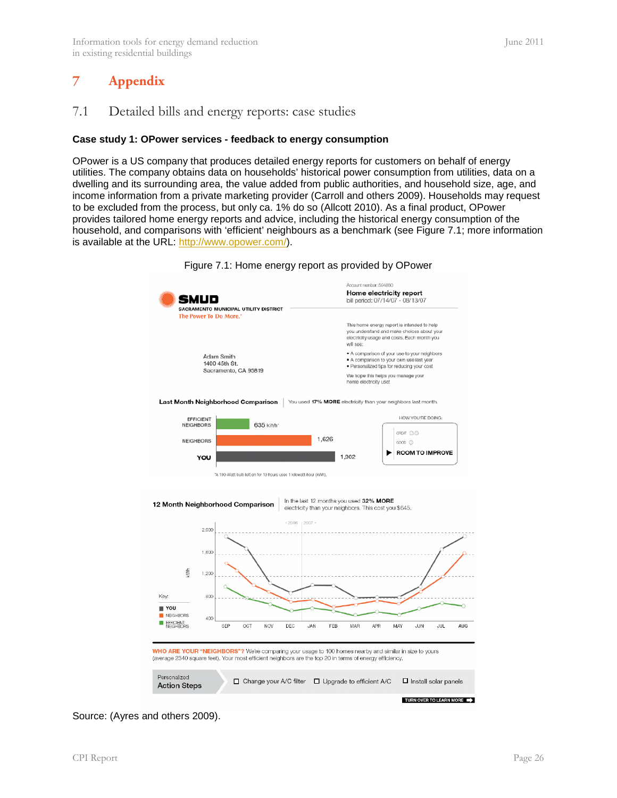### <span id="page-25-0"></span>**7 Appendix**

#### <span id="page-25-2"></span><span id="page-25-1"></span>**Case study 1: OPower services - feedback to energy consumption**

OPower is a US company that produces detailed energy reports for customers on behalf of energy utilities. The company obtains data on households' historical power consumption from utilities, data on a dwelling and its surrounding area, the value added from public authorities, and household size, age, and income information from a private marketing provider (Carroll and others 2009). Households may request to be excluded from the process, but only ca. 1% do so (Allcott 2010). As a final product, OPower provides tailored home energy reports and advice, including the historical energy consumption of the household, and comparisons with 'efficient' neighbours as a benchmark (see [Figure 7.1;](#page-25-3) more information is available at the URL: [http://www.opower.com/\)](http://www.opower.com/).

<span id="page-25-3"></span>

Figure 7.1: Home energy report as provided by OPower

Source: (Ayres and others 2009).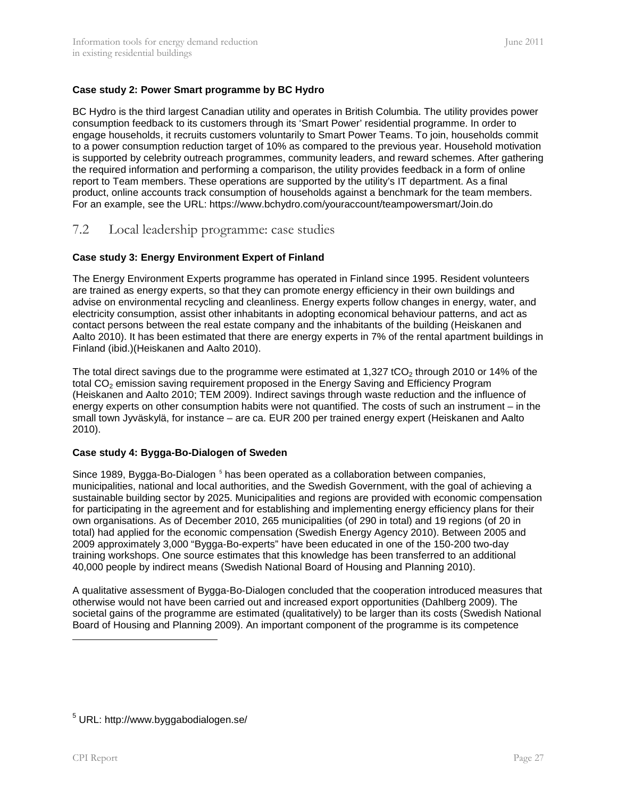#### <span id="page-26-1"></span>**Case study 2: Power Smart programme by BC Hydro**

BC Hydro is the third largest Canadian utility and operates in British Columbia. The utility provides power consumption feedback to its customers through its 'Smart Power' residential programme. In order to engage households, it recruits customers voluntarily to Smart Power Teams. To join, households commit to a power consumption reduction target of 10% as compared to the previous year. Household motivation is supported by celebrity outreach programmes, community leaders, and reward schemes. After gathering the required information and performing a comparison, the utility provides feedback in a form of online report to Team members. These operations are supported by the utility's IT department. As a final product, online accounts track consumption of households against a benchmark for the team members. For an example, see the URL: https://www.bchydro.com/youraccount/teampowersmart/Join.do

#### <span id="page-26-0"></span>7.2 Local leadership programme: case studies

#### **Case study 3: Energy Environment Expert of Finland**

The Energy Environment Experts programme has operated in Finland since 1995. Resident volunteers are trained as energy experts, so that they can promote energy efficiency in their own buildings and advise on environmental recycling and cleanliness. Energy experts follow changes in energy, water, and electricity consumption, assist other inhabitants in adopting economical behaviour patterns, and act as contact persons between the real estate company and the inhabitants of the building (Heiskanen and Aalto 2010). It has been estimated that there are energy experts in 7% of the rental apartment buildings in Finland (ibid.)(Heiskanen and Aalto 2010).

The total direct savings due to the programme were estimated at 1,327 tCO<sub>2</sub> through 2010 or 14% of the total CO<sub>2</sub> emission saving requirement proposed in the Energy Saving and Efficiency Program (Heiskanen and Aalto 2010; TEM 2009). Indirect savings through waste reduction and the influence of energy experts on other consumption habits were not quantified. The costs of such an instrument – in the small town Jyväskylä, for instance – are ca. EUR 200 per trained energy expert (Heiskanen and Aalto 2010).

#### **Case study 4: Bygga-Bo-Dialogen of Sweden**

Since 1989, Bygga-Bo-Dialogen <sup>[5](#page-26-2)</sup> has been operated as a collaboration between companies, total) had applied for the economic compensation (Swedish Energy Agency 2010). Between 2005 and municipalities, national and local authorities, and the Swedish Government, with the goal of achieving a sustainable building sector by 2025. Municipalities and regions are provided with economic compensation for participating in the agreement and for establishing and implementing energy efficiency plans for their own organisations. As of December 2010, 265 municipalities (of 290 in total) and 19 regions (of 20 in 2009 approximately 3,000 "Bygga-Bo-experts" have been educated in one of the 150-200 two-day training workshops. One source estimates that this knowledge has been transferred to an additional 40,000 people by indirect means (Swedish National Board of Housing and Planning 2010).

A qualitative assessment of Bygga-Bo-Dialogen concluded that the cooperation introduced measures that otherwise would not have been carried out and increased export opportunities (Dahlberg 2009). The societal gains of the programme are estimated (qualitatively) to be larger than its costs (Swedish National Board of Housing and Planning 2009). An important component of the programme is its competence

j

<span id="page-26-2"></span><sup>5</sup> URL: http:/[/www.byggabodialogen.se/](http://www.byggabodialogen.se/)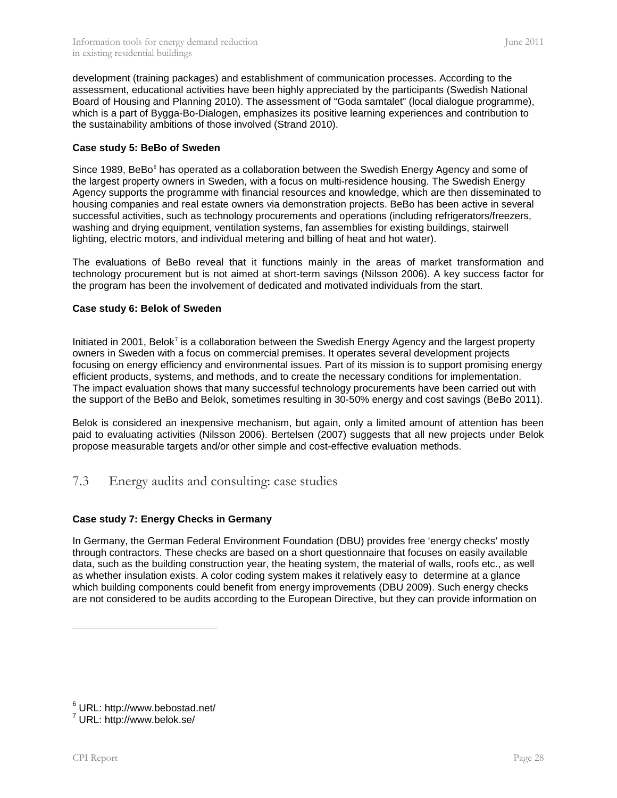development (training packages) and establishment of communication processes. According to the assessment, educational activities have been highly appreciated by the participants (Swedish National Board of Housing and Planning 2010). The assessment of "Goda samtalet" (local dialogue programme), which is a part of Bygga-Bo-Dialogen, emphasizes its positive learning experiences and contribution to the sustainability ambitions of those involved (Strand 2010).

#### **Case study 5: BeBo of Sweden**

Since 1989, BeBo<sup>[6](#page-27-2)</sup> has operated as a collaboration between the Swedish Energy Agency and some of the largest property owners in Sweden, with a focus on multi-residence housing. The Swedish Energy Agency supports the programme with financial resources and knowledge, which are then disseminated to housing companies and real estate owners via demonstration projects. BeBo has been active in several successful activities, such as technology procurements and operations (including refrigerators/freezers, washing and drying equipment, ventilation systems, fan assemblies for existing buildings, stairwell lighting, electric motors, and individual metering and billing of heat and hot water).

The evaluations of BeBo reveal that it functions mainly in the areas of market transformation and technology procurement but is not aimed at short-term savings (Nilsson 2006). A key success factor for the program has been the involvement of dedicated and motivated individuals from the start.

#### **Case study 6: Belok of Sweden**

Initiated in 2001, Belok<sup>[7](#page-27-3)</sup> is a collaboration between the Swedish Energy Agency and the largest property the support of the BeBo and Belok, sometimes resulting in 30-50% energy and cost savings (BeBo 2011). owners in Sweden with a focus on commercial premises. It operates several development projects focusing on energy efficiency and environmental issues. Part of its mission is to support promising energy efficient products, systems, and methods, and to create the necessary conditions for implementation. The impact evaluation shows that many successful technology procurements have been carried out with

Belok is considered an inexpensive mechanism, but again, only a limited amount of attention has been paid to evaluating activities (Nilsson 2006). Bertelsen (2007) suggests that all new projects under Belok propose measurable targets and/or other simple and cost-effective evaluation methods.

#### <span id="page-27-0"></span>7.3 Energy audits and consulting: case studies

#### <span id="page-27-1"></span>**Case study 7: Energy Checks in Germany**

In Germany, the German Federal Environment Foundation (DBU) provides free 'energy checks' mostly through contractors. These checks are based on a short questionnaire that focuses on easily available data, such as the building construction year, the heating system, the material of walls, roofs etc., as well as whether insulation exists. A color coding system makes it relatively easy to determine at a glance which building components could benefit from energy improvements (DBU 2009). Such energy checks are not considered to be audits according to the European Directive, but they can provide information on

-

<span id="page-27-2"></span> $^6$  URL: http:/[/www.bebostad.net/](http://www.bebostad.net/)<br> $^7$  URL: http:/[/www.belok.se/](http://www.belok.se/)

<span id="page-27-3"></span>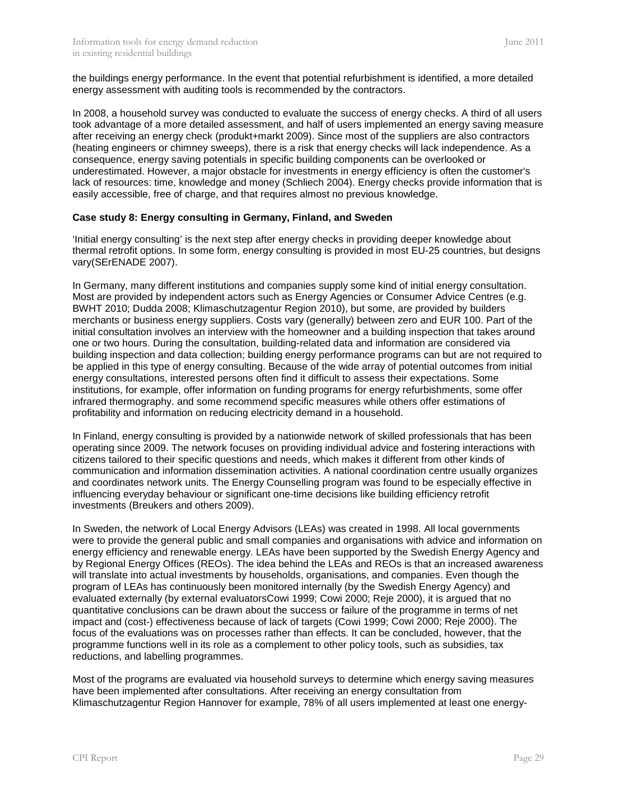the buildings energy performance. In the event that potential refurbishment is identified, a more detailed energy assessment with auditing tools is recommended by the contractors.

In 2008, a household survey was conducted to evaluate the success of energy checks. A third of all users took advantage of a more detailed assessment, and half of users implemented an energy saving measure after receiving an energy check (produkt+markt 2009). Since most of the suppliers are also contractors (heating engineers or chimney sweeps), there is a risk that energy checks will lack independence. As a consequence, energy saving potentials in specific building components can be overlooked or underestimated. However, a major obstacle for investments in energy efficiency is often the customer's lack of resources: time, knowledge and money (Schliech 2004). Energy checks provide information that is easily accessible, free of charge, and that requires almost no previous knowledge.

#### <span id="page-28-0"></span>**Case study 8: Energy consulting in Germany, Finland, and Sweden**

'Initial energy consulting' is the next step after energy checks in providing deeper knowledge about thermal retrofit options. In some form, energy consulting is provided in most EU-25 countries, but designs vary(SErENADE 2007).

In Germany, many different institutions and companies supply some kind of initial energy consultation. Most are provided by independent actors such as Energy Agencies or Consumer Advice Centres (e.g. BWHT 2010; Dudda 2008; Klimaschutzagentur Region 2010), but some, are provided by builders merchants or business energy suppliers. Costs vary (generally) between zero and EUR 100. Part of the initial consultation involves an interview with the homeowner and a building inspection that takes around one or two hours. During the consultation, building-related data and information are considered via building inspection and data collection; building energy performance programs can but are not required to be applied in this type of energy consulting. Because of the wide array of potential outcomes from initial energy consultations, interested persons often find it difficult to assess their expectations. Some institutions, for example, offer information on funding programs for energy refurbishments, some offer infrared thermography. and some recommend specific measures while others offer estimations of profitability and information on reducing electricity demand in a household.

In Finland, energy consulting is provided by a nationwide network of skilled professionals that has been operating since 2009. The network focuses on providing individual advice and fostering interactions with citizens tailored to their specific questions and needs, which makes it different from other kinds of communication and information dissemination activities. A national coordination centre usually organizes and coordinates network units. The Energy Counselling program was found to be especially effective in influencing everyday behaviour or significant one-time decisions like building efficiency retrofit investments (Breukers and others 2009).

In Sweden, the network of Local Energy Advisors (LEAs) was created in 1998. All local governments were to provide the general public and small companies and organisations with advice and information on energy efficiency and renewable energy. LEAs have been supported by the Swedish Energy Agency and by Regional Energy Offices (REOs). The idea behind the LEAs and REOs is that an increased awareness will translate into actual investments by households, organisations, and companies. Even though the program of LEAs has continuously been monitored internally (by the Swedish Energy Agency) and evaluated externally (by external evaluatorsCowi 1999; Cowi 2000; Reje 2000), it is argued that no quantitative conclusions can be drawn about the success or failure of the programme in terms of net impact and (cost-) effectiveness because of lack of targets (Cowi 1999; Cowi 2000; Reje 2000). The focus of the evaluations was on processes rather than effects. It can be concluded, however, that the programme functions well in its role as a complement to other policy tools, such as subsidies, tax reductions, and labelling programmes.

Most of the programs are evaluated via household surveys to determine which energy saving measures have been implemented after consultations. After receiving an energy consultation from Klimaschutzagentur Region Hannover for example, 78% of all users implemented at least one energy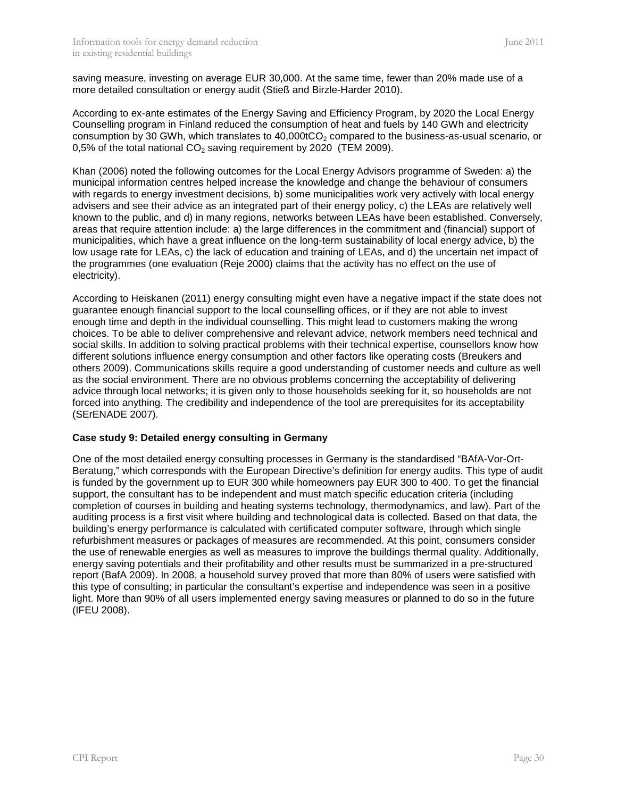saving measure, investing on average EUR 30,000. At the same time, fewer than 20% made use of a more detailed consultation or energy audit (Stieß and Birzle-Harder 2010).

According to ex-ante estimates of the Energy Saving and Efficiency Program, by 2020 the Local Energy Counselling program in Finland reduced the consumption of heat and fuels by 140 GWh and electricity consumption by 30 GWh, which translates to  $40,000tCO<sub>2</sub>$  compared to the business-as-usual scenario, or 0,5% of the total national  $CO<sub>2</sub>$  saving requirement by 2020 (TEM 2009).

Khan (2006) noted the following outcomes for the Local Energy Advisors programme of Sweden: a) the municipal information centres helped increase the knowledge and change the behaviour of consumers with regards to energy investment decisions, b) some municipalities work very actively with local energy advisers and see their advice as an integrated part of their energy policy, c) the LEAs are relatively well known to the public, and d) in many regions, networks between LEAs have been established. Conversely, areas that require attention include: a) the large differences in the commitment and (financial) support of municipalities, which have a great influence on the long-term sustainability of local energy advice, b) the low usage rate for LEAs, c) the lack of education and training of LEAs, and d) the uncertain net impact of the programmes (one evaluation (Reje 2000) claims that the activity has no effect on the use of electricity).

According to Heiskanen (2011) energy consulting might even have a negative impact if the state does not guarantee enough financial support to the local counselling offices, or if they are not able to invest enough time and depth in the individual counselling. This might lead to customers making the wrong choices. To be able to deliver comprehensive and relevant advice, network members need technical and social skills. In addition to solving practical problems with their technical expertise, counsellors know how different solutions influence energy consumption and other factors like operating costs (Breukers and others 2009). Communications skills require a good understanding of customer needs and culture as well as the social environment. There are no obvious problems concerning the acceptability of delivering advice through local networks; it is given only to those households seeking for it, so households are not forced into anything. The credibility and independence of the tool are prerequisites for its acceptability (SErENADE 2007).

#### <span id="page-29-0"></span>**Case study 9: Detailed energy consulting in Germany**

One of the most detailed energy consulting processes in Germany is the standardised "BAfA-Vor-Ort-Beratung," which corresponds with the European Directive's definition for energy audits. This type of audit is funded by the government up to EUR 300 while homeowners pay EUR 300 to 400. To get the financial support, the consultant has to be independent and must match specific education criteria (including completion of courses in building and heating systems technology, thermodynamics, and law). Part of the auditing process is a first visit where building and technological data is collected. Based on that data, the building's energy performance is calculated with certificated computer software, through which single refurbishment measures or packages of measures are recommended. At this point, consumers consider the use of renewable energies as well as measures to improve the buildings thermal quality. Additionally, energy saving potentials and their profitability and other results must be summarized in a pre-structured report (BafA 2009). In 2008, a household survey proved that more than 80% of users were satisfied with this type of consulting; in particular the consultant's expertise and independence was seen in a positive light. More than 90% of all users implemented energy saving measures or planned to do so in the future (IFEU 2008).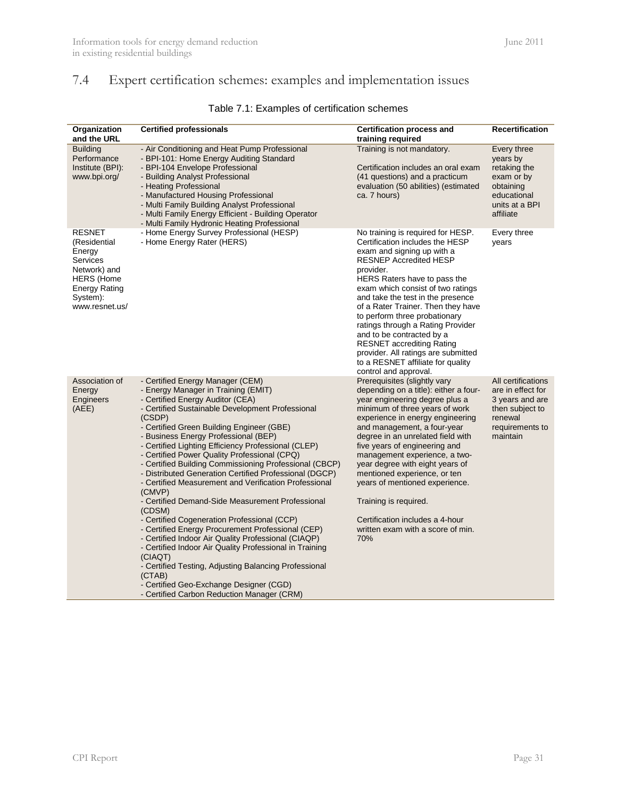# <span id="page-30-0"></span>7.4 Expert certification schemes: examples and implementation issues

<span id="page-30-1"></span>

| Organization<br>and the URL                                                                                                             | <b>Certified professionals</b>                                                                                                                                                                                                                                                                                                                                                                                                                                                                                                                                                                                                                                                                                                                                                                                                                                                                                                                                                                                          | <b>Certification process and</b><br>training required                                                                                                                                                                                                                                                                                                                                                                                                                                                                                        | <b>Recertification</b>                                                                                                  |
|-----------------------------------------------------------------------------------------------------------------------------------------|-------------------------------------------------------------------------------------------------------------------------------------------------------------------------------------------------------------------------------------------------------------------------------------------------------------------------------------------------------------------------------------------------------------------------------------------------------------------------------------------------------------------------------------------------------------------------------------------------------------------------------------------------------------------------------------------------------------------------------------------------------------------------------------------------------------------------------------------------------------------------------------------------------------------------------------------------------------------------------------------------------------------------|----------------------------------------------------------------------------------------------------------------------------------------------------------------------------------------------------------------------------------------------------------------------------------------------------------------------------------------------------------------------------------------------------------------------------------------------------------------------------------------------------------------------------------------------|-------------------------------------------------------------------------------------------------------------------------|
| <b>Building</b><br>Performance<br>Institute (BPI):<br>www.bpi.org/                                                                      | - Air Conditioning and Heat Pump Professional<br>- BPI-101: Home Energy Auditing Standard<br>- BPI-104 Envelope Professional<br>- Building Analyst Professional<br>- Heating Professional<br>- Manufactured Housing Professional<br>- Multi Family Building Analyst Professional<br>- Multi Family Energy Efficient - Building Operator<br>- Multi Family Hydronic Heating Professional                                                                                                                                                                                                                                                                                                                                                                                                                                                                                                                                                                                                                                 | Training is not mandatory.<br>Certification includes an oral exam<br>(41 questions) and a practicum<br>evaluation (50 abilities) (estimated<br>ca. 7 hours)                                                                                                                                                                                                                                                                                                                                                                                  | Every three<br>years by<br>retaking the<br>exam or by<br>obtaining<br>educational<br>units at a BPI<br>affiliate        |
| <b>RESNET</b><br>(Residential<br>Energy<br>Services<br>Network) and<br><b>HERS</b> (Home<br>Energy Rating<br>System):<br>www.resnet.us/ | - Home Energy Survey Professional (HESP)<br>- Home Energy Rater (HERS)                                                                                                                                                                                                                                                                                                                                                                                                                                                                                                                                                                                                                                                                                                                                                                                                                                                                                                                                                  | No training is required for HESP.<br>Certification includes the HESP<br>exam and signing up with a<br><b>RESNEP Accredited HESP</b><br>provider.<br>HERS Raters have to pass the<br>exam which consist of two ratings<br>and take the test in the presence<br>of a Rater Trainer. Then they have<br>to perform three probationary<br>ratings through a Rating Provider<br>and to be contracted by a<br><b>RESNET</b> accrediting Rating<br>provider. All ratings are submitted<br>to a RESNET affiliate for quality<br>control and approval. | Every three<br>vears                                                                                                    |
| Association of<br>Energy<br>Engineers<br>(AEE)                                                                                          | - Certified Energy Manager (CEM)<br>- Energy Manager in Training (EMIT)<br>- Certified Energy Auditor (CEA)<br>- Certified Sustainable Development Professional<br>(CSDP)<br>- Certified Green Building Engineer (GBE)<br>- Business Energy Professional (BEP)<br>- Certified Lighting Efficiency Professional (CLEP)<br>- Certified Power Quality Professional (CPQ)<br>- Certified Building Commissioning Professional (CBCP)<br>- Distributed Generation Certified Professional (DGCP)<br>- Certified Measurement and Verification Professional<br>(CMVP)<br>- Certified Demand-Side Measurement Professional<br>(CDSM)<br>- Certified Cogeneration Professional (CCP)<br>- Certified Energy Procurement Professional (CEP)<br>- Certified Indoor Air Quality Professional (CIAQP)<br>- Certified Indoor Air Quality Professional in Training<br>(CIAQT)<br>- Certified Testing, Adjusting Balancing Professional<br>(CTAB)<br>- Certified Geo-Exchange Designer (CGD)<br>- Certified Carbon Reduction Manager (CRM) | Prerequisites (slightly vary<br>depending on a title): either a four-<br>year engineering degree plus a<br>minimum of three years of work<br>experience in energy engineering<br>and management, a four-year<br>degree in an unrelated field with<br>five years of engineering and<br>management experience, a two-<br>year degree with eight years of<br>mentioned experience, or ten<br>years of mentioned experience.<br>Training is required.<br>Certification includes a 4-hour<br>written exam with a score of min.<br>70%             | All certifications<br>are in effect for<br>3 years and are<br>then subject to<br>renewal<br>requirements to<br>maintain |

### Table 7.1: Examples of certification schemes